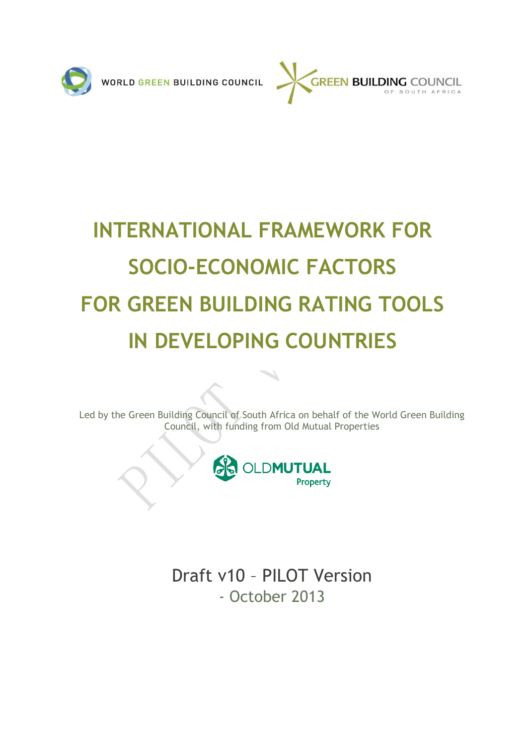



# **INTERNATIONAL FRAMEWORK FOR SOCIO-ECONOMIC FACTORS FOR GREEN BUILDING RATING TOOLS IN DEVELOPING COUNTRIES**

Led by the Green Building Council of South Africa on behalf of the World Green Building Council, with funding from Old Mutual Properties



Draft v10 – PILOT Version - October 2013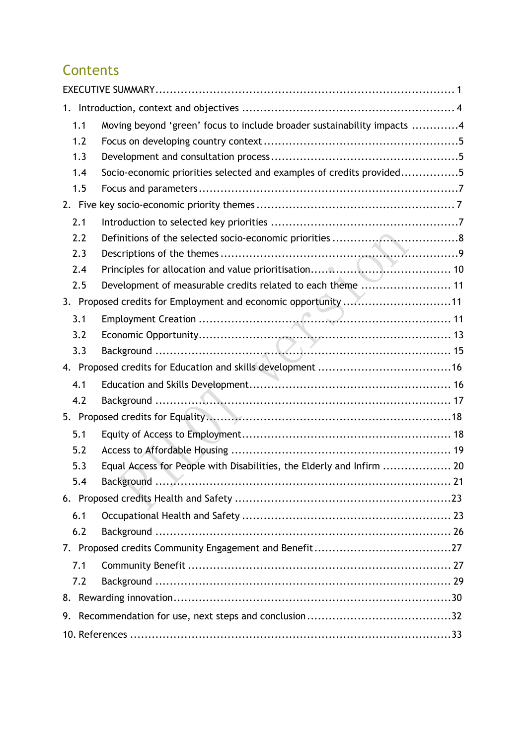# **Contents**

| 1.1                                                            | Moving beyond 'green' focus to include broader sustainability impacts 4 |  |  |  |
|----------------------------------------------------------------|-------------------------------------------------------------------------|--|--|--|
| 1.2                                                            |                                                                         |  |  |  |
| 1.3                                                            |                                                                         |  |  |  |
| 1.4                                                            | Socio-economic priorities selected and examples of credits provided5    |  |  |  |
| 1.5                                                            |                                                                         |  |  |  |
|                                                                |                                                                         |  |  |  |
| 2.1                                                            |                                                                         |  |  |  |
| 2.2                                                            |                                                                         |  |  |  |
| 2.3                                                            |                                                                         |  |  |  |
| 2.4                                                            |                                                                         |  |  |  |
| 2.5                                                            | Development of measurable credits related to each theme  11             |  |  |  |
| 3. Proposed credits for Employment and economic opportunity 11 |                                                                         |  |  |  |
| 3.1                                                            |                                                                         |  |  |  |
| 3.2                                                            |                                                                         |  |  |  |
| 3.3                                                            |                                                                         |  |  |  |
|                                                                |                                                                         |  |  |  |
| 4.1                                                            |                                                                         |  |  |  |
| 4.2                                                            |                                                                         |  |  |  |
|                                                                |                                                                         |  |  |  |
| 5.1                                                            |                                                                         |  |  |  |
| 5.2                                                            |                                                                         |  |  |  |
| 5.3                                                            | Equal Access for People with Disabilities, the Elderly and Infirm  20   |  |  |  |
| 5.4                                                            |                                                                         |  |  |  |
|                                                                |                                                                         |  |  |  |
| 6.1                                                            |                                                                         |  |  |  |
| 6.2                                                            |                                                                         |  |  |  |
|                                                                |                                                                         |  |  |  |
| 7.1                                                            |                                                                         |  |  |  |
| 7.2                                                            |                                                                         |  |  |  |
|                                                                |                                                                         |  |  |  |
|                                                                |                                                                         |  |  |  |
|                                                                |                                                                         |  |  |  |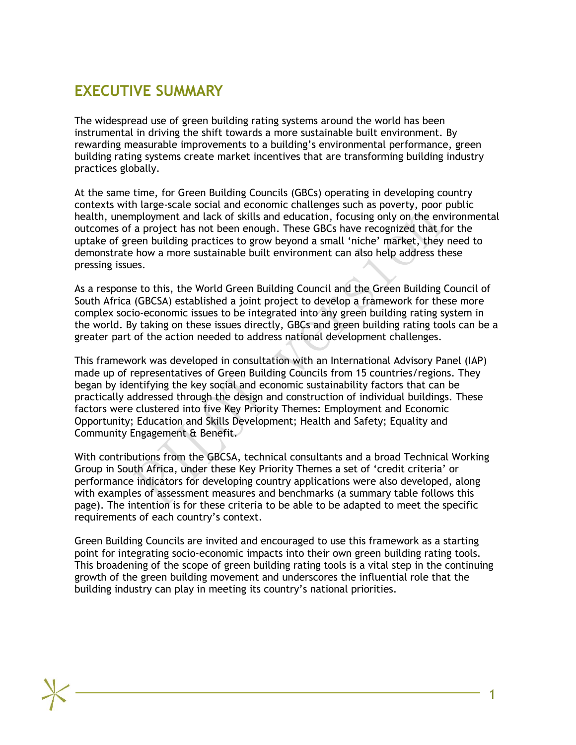# **EXECUTIVE SUMMARY**

<span id="page-2-0"></span>The widespread use of green building rating systems around the world has been instrumental in driving the shift towards a more sustainable built environment. By rewarding measurable improvements to a building's environmental performance, green building rating systems create market incentives that are transforming building industry practices globally.

At the same time, for Green Building Councils (GBCs) operating in developing country contexts with large-scale social and economic challenges such as poverty, poor public health, unemployment and lack of skills and education, focusing only on the environmental outcomes of a project has not been enough. These GBCs have recognized that for the uptake of green building practices to grow beyond a small 'niche' market, they need to demonstrate how a more sustainable built environment can also help address these pressing issues.

As a response to this, the World Green Building Council and the Green Building Council of South Africa (GBCSA) established a joint project to develop a framework for these more complex socio-economic issues to be integrated into any green building rating system in the world. By taking on these issues directly, GBCs and green building rating tools can be a greater part of the action needed to address national development challenges.

This framework was developed in consultation with an International Advisory Panel (IAP) made up of representatives of Green Building Councils from 15 countries/regions. They began by identifying the key social and economic sustainability factors that can be practically addressed through the design and construction of individual buildings. These factors were clustered into five Key Priority Themes: Employment and Economic Opportunity; Education and Skills Development; Health and Safety; Equality and Community Engagement & Benefit.

With contributions from the GBCSA, technical consultants and a broad Technical Working Group in South Africa, under these Key Priority Themes a set of 'credit criteria' or performance indicators for developing country applications were also developed, along with examples of assessment measures and benchmarks (a summary table follows this page). The intention is for these criteria to be able to be adapted to meet the specific requirements of each country's context.

Green Building Councils are invited and encouraged to use this framework as a starting point for integrating socio-economic impacts into their own green building rating tools. This broadening of the scope of green building rating tools is a vital step in the continuing growth of the green building movement and underscores the influential role that the building industry can play in meeting its country's national priorities.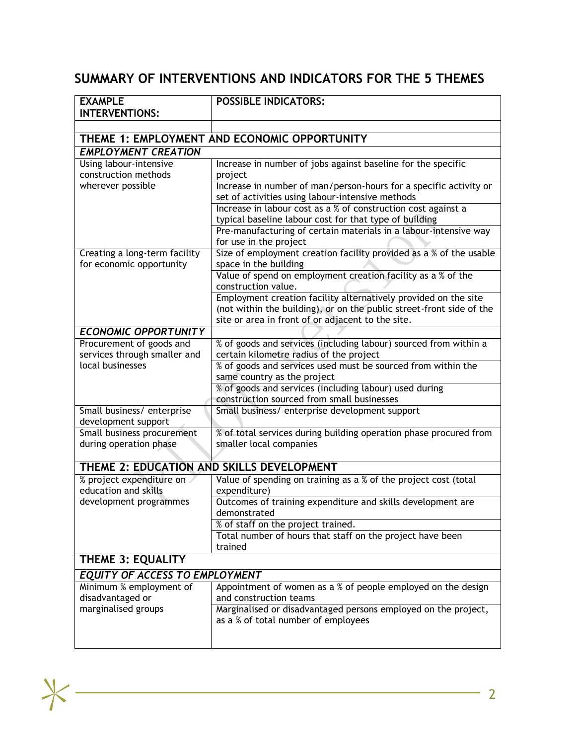# **SUMMARY OF INTERVENTIONS AND INDICATORS FOR THE 5 THEMES**

| <b>EXAMPLE</b>                                            | <b>POSSIBLE INDICATORS:</b>                                                                                                             |  |  |  |  |  |  |
|-----------------------------------------------------------|-----------------------------------------------------------------------------------------------------------------------------------------|--|--|--|--|--|--|
| <b>INTERVENTIONS:</b>                                     |                                                                                                                                         |  |  |  |  |  |  |
|                                                           |                                                                                                                                         |  |  |  |  |  |  |
|                                                           | THEME 1: EMPLOYMENT AND ECONOMIC OPPORTUNITY                                                                                            |  |  |  |  |  |  |
| <b>EMPLOYMENT CREATION</b>                                |                                                                                                                                         |  |  |  |  |  |  |
| Using labour-intensive                                    | Increase in number of jobs against baseline for the specific                                                                            |  |  |  |  |  |  |
| construction methods                                      | project                                                                                                                                 |  |  |  |  |  |  |
| wherever possible                                         | Increase in number of man/person-hours for a specific activity or<br>set of activities using labour-intensive methods                   |  |  |  |  |  |  |
|                                                           | Increase in labour cost as a % of construction cost against a<br>typical baseline labour cost for that type of building                 |  |  |  |  |  |  |
|                                                           | Pre-manufacturing of certain materials in a labour-intensive way<br>for use in the project                                              |  |  |  |  |  |  |
| Creating a long-term facility<br>for economic opportunity | Size of employment creation facility provided as a % of the usable<br>space in the building                                             |  |  |  |  |  |  |
|                                                           | Value of spend on employment creation facility as a % of the<br>construction value.                                                     |  |  |  |  |  |  |
|                                                           | Employment creation facility alternatively provided on the site<br>(not within the building), or on the public street-front side of the |  |  |  |  |  |  |
|                                                           | site or area in front of or adjacent to the site.                                                                                       |  |  |  |  |  |  |
| <b>ECONOMIC OPPORTUNITY</b>                               |                                                                                                                                         |  |  |  |  |  |  |
| Procurement of goods and                                  | % of goods and services (including labour) sourced from within a                                                                        |  |  |  |  |  |  |
| services through smaller and                              | certain kilometre radius of the project                                                                                                 |  |  |  |  |  |  |
| local businesses                                          | % of goods and services used must be sourced from within the                                                                            |  |  |  |  |  |  |
|                                                           | same country as the project                                                                                                             |  |  |  |  |  |  |
|                                                           | % of goods and services (including labour) used during                                                                                  |  |  |  |  |  |  |
|                                                           | construction sourced from small businesses                                                                                              |  |  |  |  |  |  |
| Small business/ enterprise                                | Small business/ enterprise development support                                                                                          |  |  |  |  |  |  |
| development support                                       |                                                                                                                                         |  |  |  |  |  |  |
| Small business procurement<br>during operation phase      | % of total services during building operation phase procured from<br>smaller local companies                                            |  |  |  |  |  |  |
|                                                           |                                                                                                                                         |  |  |  |  |  |  |
| THEME 2: EDUCATION AND SKILLS DEVELOPMENT                 |                                                                                                                                         |  |  |  |  |  |  |
| % project expenditure on                                  | Value of spending on training as a % of the project cost (total                                                                         |  |  |  |  |  |  |
| education and skills                                      | expenditure)                                                                                                                            |  |  |  |  |  |  |
| development programmes                                    | Outcomes of training expenditure and skills development are<br>demonstrated                                                             |  |  |  |  |  |  |
|                                                           | % of staff on the project trained.                                                                                                      |  |  |  |  |  |  |
|                                                           | Total number of hours that staff on the project have been<br>trained                                                                    |  |  |  |  |  |  |
| <b>THEME 3: EQUALITY</b>                                  |                                                                                                                                         |  |  |  |  |  |  |
| <b>EQUITY OF ACCESS TO EMPLOYMENT</b>                     |                                                                                                                                         |  |  |  |  |  |  |
| Minimum % employment of<br>disadvantaged or               | Appointment of women as a % of people employed on the design<br>and construction teams                                                  |  |  |  |  |  |  |
| marginalised groups                                       | Marginalised or disadvantaged persons employed on the project,<br>as a % of total number of employees                                   |  |  |  |  |  |  |
|                                                           |                                                                                                                                         |  |  |  |  |  |  |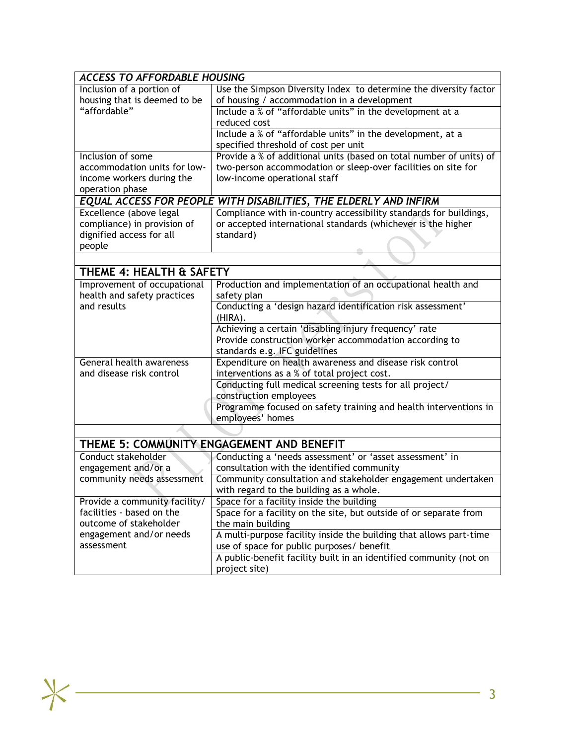| <b>ACCESS TO AFFORDABLE HOUSING</b> |                                                                     |  |  |  |  |
|-------------------------------------|---------------------------------------------------------------------|--|--|--|--|
| Inclusion of a portion of           | Use the Simpson Diversity Index to determine the diversity factor   |  |  |  |  |
| housing that is deemed to be        | of housing / accommodation in a development                         |  |  |  |  |
| "affordable"                        | Include a % of "affordable units" in the development at a           |  |  |  |  |
|                                     | reduced cost                                                        |  |  |  |  |
|                                     | Include a % of "affordable units" in the development, at a          |  |  |  |  |
|                                     | specified threshold of cost per unit                                |  |  |  |  |
| Inclusion of some                   | Provide a % of additional units (based on total number of units) of |  |  |  |  |
| accommodation units for low-        | two-person accommodation or sleep-over facilities on site for       |  |  |  |  |
| income workers during the           | low-income operational staff                                        |  |  |  |  |
| operation phase                     |                                                                     |  |  |  |  |
|                                     | EQUAL ACCESS FOR PEOPLE WITH DISABILITIES, THE ELDERLY AND INFIRM   |  |  |  |  |
| Excellence (above legal             | Compliance with in-country accessibility standards for buildings,   |  |  |  |  |
| compliance) in provision of         | or accepted international standards (whichever is the higher        |  |  |  |  |
| dignified access for all            | standard)                                                           |  |  |  |  |
| people                              |                                                                     |  |  |  |  |
|                                     |                                                                     |  |  |  |  |
| THEME 4: HEALTH & SAFETY            |                                                                     |  |  |  |  |
| Improvement of occupational         | Production and implementation of an occupational health and         |  |  |  |  |
| health and safety practices         | safety plan                                                         |  |  |  |  |
| and results                         | Conducting a 'design hazard identification risk assessment'         |  |  |  |  |
|                                     | (HIRA).                                                             |  |  |  |  |
|                                     | Achieving a certain 'disabling injury frequency' rate               |  |  |  |  |
|                                     | Provide construction worker accommodation according to              |  |  |  |  |
|                                     | standards e.g. IFC guidelines                                       |  |  |  |  |
| General health awareness            | Expenditure on health awareness and disease risk control            |  |  |  |  |
| and disease risk control            | interventions as a % of total project cost.                         |  |  |  |  |
|                                     | Conducting full medical screening tests for all project/            |  |  |  |  |
|                                     | construction employees                                              |  |  |  |  |
|                                     | Programme focused on safety training and health interventions in    |  |  |  |  |
|                                     | employees' homes                                                    |  |  |  |  |
|                                     |                                                                     |  |  |  |  |
|                                     | THEME 5: COMMUNITY ENGAGEMENT AND BENEFIT                           |  |  |  |  |
| Conduct stakeholder                 | Conducting a 'needs assessment' or 'asset assessment' in            |  |  |  |  |
| engagement and/or a                 | consultation with the identified community                          |  |  |  |  |
| community needs assessment          | Community consultation and stakeholder engagement undertaken        |  |  |  |  |
|                                     | with regard to the building as a whole.                             |  |  |  |  |
| Provide a community facility/       | Space for a facility inside the building                            |  |  |  |  |
| facilities - based on the           | Space for a facility on the site, but outside of or separate from   |  |  |  |  |
| outcome of stakeholder              | the main building                                                   |  |  |  |  |
| engagement and/or needs             | A multi-purpose facility inside the building that allows part-time  |  |  |  |  |
| assessment                          | use of space for public purposes/ benefit                           |  |  |  |  |
|                                     | A public-benefit facility built in an identified community (not on  |  |  |  |  |
|                                     | project site)                                                       |  |  |  |  |

 $*$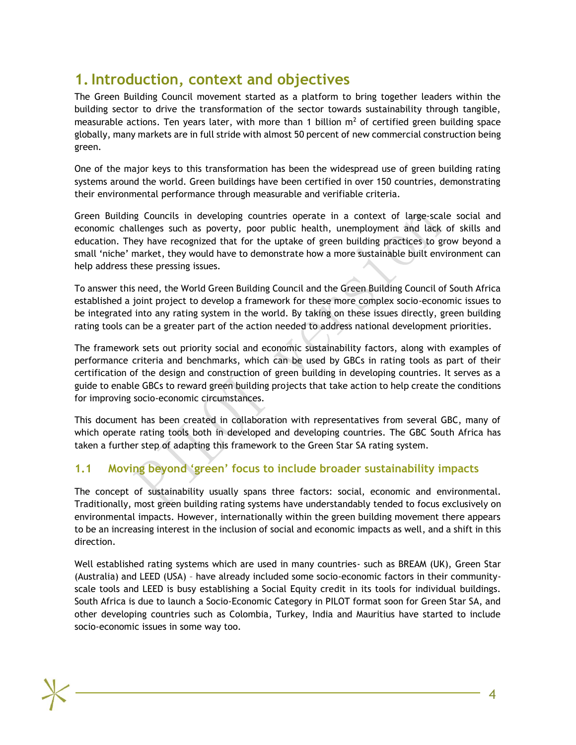# **1.Introduction, context and objectives**

<span id="page-5-0"></span>The Green Building Council movement started as a platform to bring together leaders within the building sector to drive the transformation of the sector towards sustainability through tangible, measurable actions. Ten years later, with more than 1 billion  $m<sup>2</sup>$  of certified green building space globally, many markets are in full stride with almost 50 percent of new commercial construction being green.

One of the major keys to this transformation has been the widespread use of green building rating systems around the world. Green buildings have been certified in over 150 countries, demonstrating their environmental performance through measurable and verifiable criteria.

Green Building Councils in developing countries operate in a context of large-scale social and economic challenges such as poverty, poor public health, unemployment and lack of skills and education. They have recognized that for the uptake of green building practices to grow beyond a small 'niche' market, they would have to demonstrate how a more sustainable built environment can help address these pressing issues.

To answer this need, the World Green Building Council and the Green Building Council of South Africa established a joint project to develop a framework for these more complex socio-economic issues to be integrated into any rating system in the world. By taking on these issues directly, green building rating tools can be a greater part of the action needed to address national development priorities.

The framework sets out priority social and economic sustainability factors, along with examples of performance criteria and benchmarks, which can be used by GBCs in rating tools as part of their certification of the design and construction of green building in developing countries. It serves as a guide to enable GBCs to reward green building projects that take action to help create the conditions for improving socio-economic circumstances.

This document has been created in collaboration with representatives from several GBC, many of which operate rating tools both in developed and developing countries. The GBC South Africa has taken a further step of adapting this framework to the Green Star SA rating system.

# **1.1 Moving beyond 'green' focus to include broader sustainability impacts**

<span id="page-5-1"></span>The concept of sustainability usually spans three factors: social, economic and environmental. Traditionally, most green building rating systems have understandably tended to focus exclusively on environmental impacts. However, internationally within the green building movement there appears to be an increasing interest in the inclusion of social and economic impacts as well, and a shift in this direction.

Well established rating systems which are used in many countries- such as BREAM (UK), Green Star (Australia) and LEED (USA) – have already included some socio-economic factors in their communityscale tools and LEED is busy establishing a Social Equity credit in its tools for individual buildings. South Africa is due to launch a Socio-Economic Category in PILOT format soon for Green Star SA, and other developing countries such as Colombia, Turkey, India and Mauritius have started to include socio-economic issues in some way too.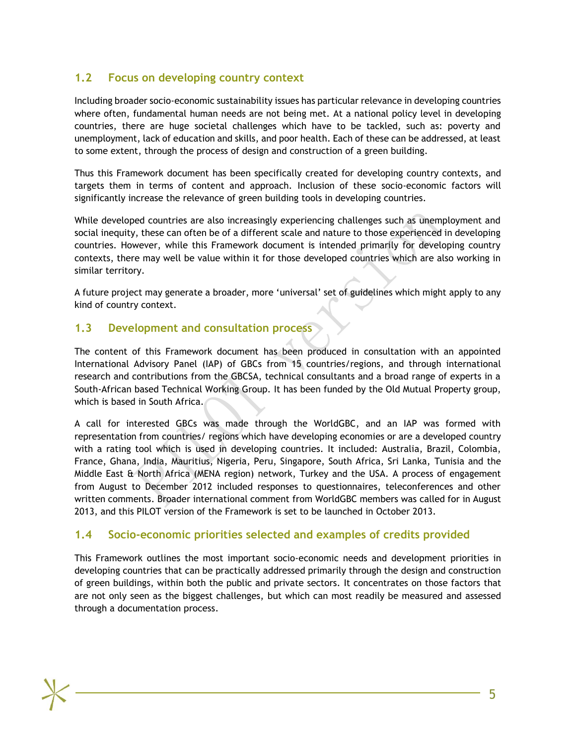# **1.2 Focus on developing country context**

<span id="page-6-0"></span>Including broader socio-economic sustainability issues has particular relevance in developing countries where often, fundamental human needs are not being met. At a national policy level in developing countries, there are huge societal challenges which have to be tackled, such as: poverty and unemployment, lack of education and skills, and poor health. Each of these can be addressed, at least to some extent, through the process of design and construction of a green building.

Thus this Framework document has been specifically created for developing country contexts, and targets them in terms of content and approach. Inclusion of these socio-economic factors will significantly increase the relevance of green building tools in developing countries.

While developed countries are also increasingly experiencing challenges such as unemployment and social inequity, these can often be of a different scale and nature to those experienced in developing countries. However, while this Framework document is intended primarily for developing country contexts, there may well be value within it for those developed countries which are also working in similar territory.

A future project may generate a broader, more 'universal' set of guidelines which might apply to any kind of country context.

## **1.3 Development and consultation process**

<span id="page-6-1"></span>The content of this Framework document has been produced in consultation with an appointed International Advisory Panel (IAP) of GBCs from 15 countries/regions, and through international research and contributions from the GBCSA, technical consultants and a broad range of experts in a South-African based Technical Working Group. It has been funded by the Old Mutual Property group, which is based in South Africa.

A call for interested GBCs was made through the WorldGBC, and an IAP was formed with representation from countries/ regions which have developing economies or are a developed country with a rating tool which is used in developing countries. It included: Australia, Brazil, Colombia, France, Ghana, India, Mauritius, Nigeria, Peru, Singapore, South Africa, Sri Lanka, Tunisia and the Middle East & North Africa (MENA region) network, Turkey and the USA. A process of engagement from August to December 2012 included responses to questionnaires, teleconferences and other written comments. Broader international comment from WorldGBC members was called for in August 2013, and this PILOT version of the Framework is set to be launched in October 2013.

# **1.4 Socio-economic priorities selected and examples of credits provided**

<span id="page-6-2"></span>This Framework outlines the most important socio-economic needs and development priorities in developing countries that can be practically addressed primarily through the design and construction of green buildings, within both the public and private sectors. It concentrates on those factors that are not only seen as the biggest challenges, but which can most readily be measured and assessed through a documentation process.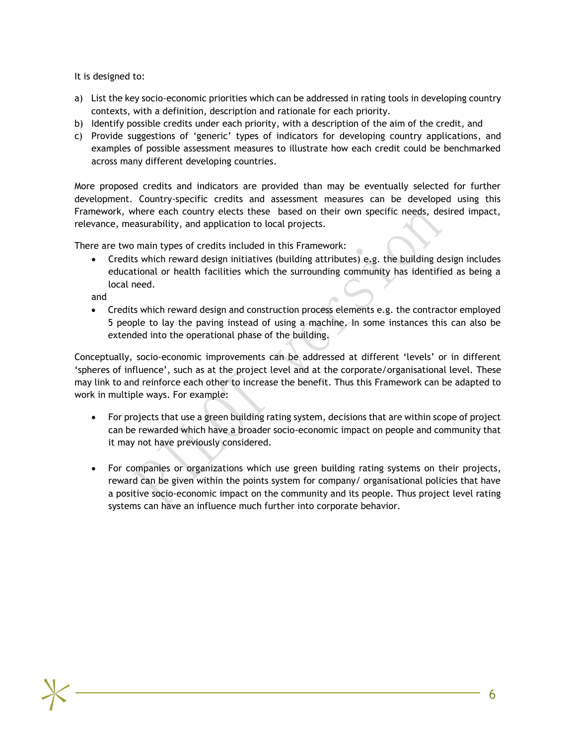It is designed to:

- a) List the key socio-economic priorities which can be addressed in rating tools in developing country contexts, with a definition, description and rationale for each priority.
- b) Identify possible credits under each priority, with a description of the aim of the credit, and
- c) Provide suggestions of 'generic' types of indicators for developing country applications, and examples of possible assessment measures to illustrate how each credit could be benchmarked across many different developing countries.

More proposed credits and indicators are provided than may be eventually selected for further development. Country-specific credits and assessment measures can be developed using this Framework, where each country elects these based on their own specific needs, desired impact, relevance, measurability, and application to local projects.

There are two main types of credits included in this Framework:

 Credits which reward design initiatives (building attributes) e.g. the building design includes educational or health facilities which the surrounding community has identified as being a local need.

and

 Credits which reward design and construction process elements e.g. the contractor employed 5 people to lay the paving instead of using a machine. In some instances this can also be extended into the operational phase of the building.

Conceptually, socio-economic improvements can be addressed at different 'levels' or in different 'spheres of influence', such as at the project level and at the corporate/organisational level. These may link to and reinforce each other to increase the benefit. Thus this Framework can be adapted to work in multiple ways. For example:

- For projects that use a green building rating system, decisions that are within scope of project can be rewarded which have a broader socio-economic impact on people and community that it may not have previously considered.
- For companies or organizations which use green building rating systems on their projects, reward can be given within the points system for company/ organisational policies that have a positive socio-economic impact on the community and its people. Thus project level rating systems can have an influence much further into corporate behavior.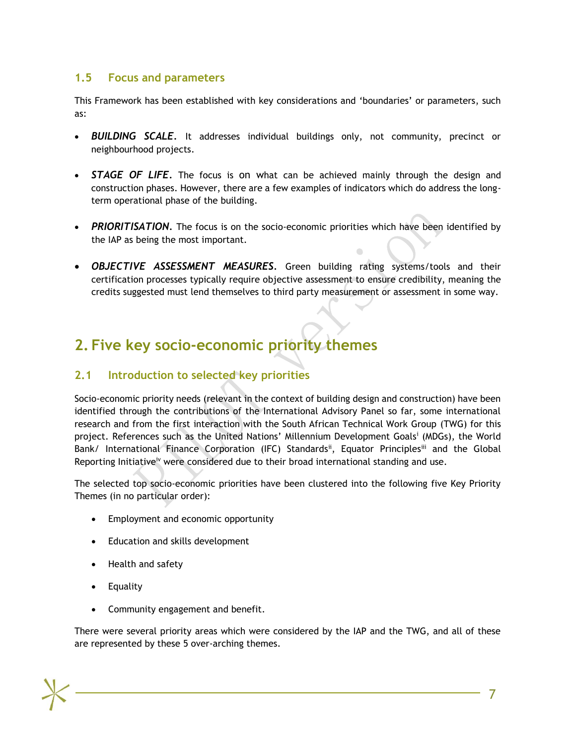# **1.5 Focus and parameters**

This Framework has been established with key considerations and 'boundaries' or parameters, such as:

- <span id="page-8-0"></span> *BUILDING SCALE.* It addresses individual buildings only, not community, precinct or neighbourhood projects.
- *STAGE OF LIFE.* The focus is on what can be achieved mainly through the design and construction phases. However, there are a few examples of indicators which do address the longterm operational phase of the building.
- PRIORITISATION. The focus is on the socio-economic priorities which have been identified by the IAP as being the most important.
- *OBJECTIVE ASSESSMENT MEASURES.* Green building rating systems/tools and their certification processes typically require objective assessment to ensure credibility, meaning the credits suggested must lend themselves to third party measurement or assessment in some way.

# **2. Five key socio-economic priority themes**

# **2.1 Introduction to selected key priorities**

<span id="page-8-2"></span><span id="page-8-1"></span>Socio-economic priority needs (relevant in the context of building design and construction) have been identified through the contributions of the International Advisory Panel so far, some international research and from the first interaction with the South African Technical Work Group (TWG) for this project. References such as the United Nations' Millennium Development Goals<sup>i</sup> (MDGs), the World Bank/ International Finance Corporation (IFC) Standards<sup>ii</sup>, Equator Principles<sup>iii</sup> and the Global Reporting Initiative<sup>iv</sup> were considered due to their broad international standing and use.

The selected top socio-economic priorities have been clustered into the following five Key Priority Themes (in no particular order):

- Employment and economic opportunity
- Education and skills development
- Health and safety
- Equality
- Community engagement and benefit.

There were several priority areas which were considered by the IAP and the TWG, and all of these are represented by these 5 over-arching themes.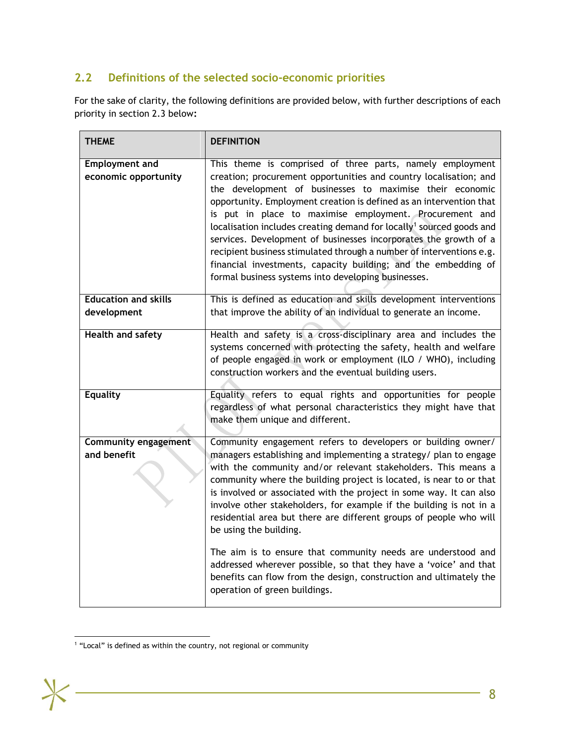# **2.2 Definitions of the selected socio-economic priorities**

For the sake of clarity, the following definitions are provided below, with further descriptions of each priority in section 2.3 below**:**

<span id="page-9-0"></span>

| <b>THEME</b>                                  | <b>DEFINITION</b>                                                                                                                                                                                                                                                                                                                                                                                                                                                                                                                                                                                                                                                                     |  |  |
|-----------------------------------------------|---------------------------------------------------------------------------------------------------------------------------------------------------------------------------------------------------------------------------------------------------------------------------------------------------------------------------------------------------------------------------------------------------------------------------------------------------------------------------------------------------------------------------------------------------------------------------------------------------------------------------------------------------------------------------------------|--|--|
| <b>Employment and</b><br>economic opportunity | This theme is comprised of three parts, namely employment<br>creation; procurement opportunities and country localisation; and<br>the development of businesses to maximise their economic<br>opportunity. Employment creation is defined as an intervention that<br>is put in place to maximise employment. Procurement and<br>localisation includes creating demand for locally <sup>1</sup> sourced goods and<br>services. Development of businesses incorporates the growth of a<br>recipient business stimulated through a number of interventions e.g.<br>financial investments, capacity building; and the embedding of<br>formal business systems into developing businesses. |  |  |
| <b>Education and skills</b>                   | This is defined as education and skills development interventions                                                                                                                                                                                                                                                                                                                                                                                                                                                                                                                                                                                                                     |  |  |
| development                                   | that improve the ability of an individual to generate an income.                                                                                                                                                                                                                                                                                                                                                                                                                                                                                                                                                                                                                      |  |  |
| <b>Health and safety</b>                      | Health and safety is a cross-disciplinary area and includes the<br>systems concerned with protecting the safety, health and welfare<br>of people engaged in work or employment (ILO / WHO), including<br>construction workers and the eventual building users.                                                                                                                                                                                                                                                                                                                                                                                                                        |  |  |
| <b>Equality</b>                               | Equality refers to equal rights and opportunities for people<br>regardless of what personal characteristics they might have that<br>make them unique and different.                                                                                                                                                                                                                                                                                                                                                                                                                                                                                                                   |  |  |
| <b>Community engagement</b><br>and benefit    | Community engagement refers to developers or building owner/<br>managers establishing and implementing a strategy/ plan to engage<br>with the community and/or relevant stakeholders. This means a<br>community where the building project is located, is near to or that<br>is involved or associated with the project in some way. It can also<br>involve other stakeholders, for example if the building is not in a<br>residential area but there are different groups of people who will<br>be using the building.                                                                                                                                                               |  |  |
|                                               | The aim is to ensure that community needs are understood and<br>addressed wherever possible, so that they have a 'voice' and that<br>benefits can flow from the design, construction and ultimately the<br>operation of green buildings.                                                                                                                                                                                                                                                                                                                                                                                                                                              |  |  |

l  $1$  "Local" is defined as within the country, not regional or community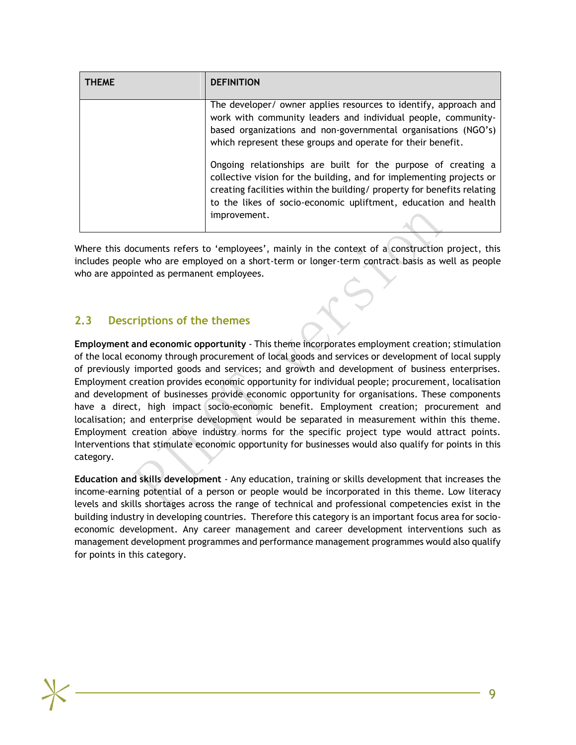| THEME | <b>DEFINITION</b>                                                                                                                                                                                                                                                                                   |
|-------|-----------------------------------------------------------------------------------------------------------------------------------------------------------------------------------------------------------------------------------------------------------------------------------------------------|
|       | The developer/ owner applies resources to identify, approach and<br>work with community leaders and individual people, community-<br>based organizations and non-governmental organisations (NGO's)<br>which represent these groups and operate for their benefit.                                  |
|       | Ongoing relationships are built for the purpose of creating a<br>collective vision for the building, and for implementing projects or<br>creating facilities within the building/ property for benefits relating<br>to the likes of socio-economic upliftment, education and health<br>improvement. |

Where this documents refers to 'employees', mainly in the context of a construction project, this includes people who are employed on a short-term or longer-term contract basis as well as people who are appointed as permanent employees.

# **2.3 Descriptions of the themes**

<span id="page-10-0"></span>**Employment and economic opportunity** - This theme incorporates employment creation; stimulation of the local economy through procurement of local goods and services or development of local supply of previously imported goods and services; and growth and development of business enterprises. Employment creation provides economic opportunity for individual people; procurement, localisation and development of businesses provide economic opportunity for organisations. These components have a direct, high impact socio-economic benefit. Employment creation; procurement and localisation; and enterprise development would be separated in measurement within this theme. Employment creation above industry norms for the specific project type would attract points. Interventions that stimulate economic opportunity for businesses would also qualify for points in this category.

**Education and skills development** - Any education, training or skills development that increases the income-earning potential of a person or people would be incorporated in this theme. Low literacy levels and skills shortages across the range of technical and professional competencies exist in the building industry in developing countries. Therefore this category is an important focus area for socioeconomic development. Any career management and career development interventions such as management development programmes and performance management programmes would also qualify for points in this category.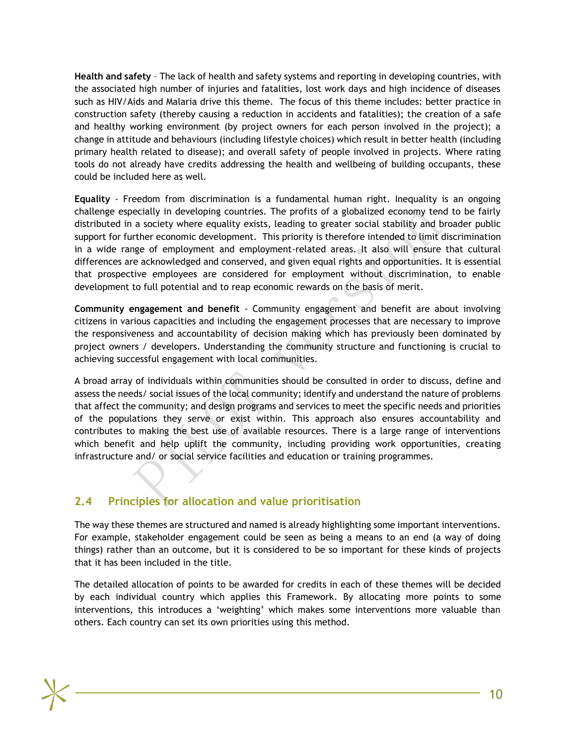**Health and safety** – The lack of health and safety systems and reporting in developing countries, with the associated high number of injuries and fatalities, lost work days and high incidence of diseases such as HIV/Aids and Malaria drive this theme. The focus of this theme includes: better practice in construction safety (thereby causing a reduction in accidents and fatalities); the creation of a safe and healthy working environment (by project owners for each person involved in the project); a change in attitude and behaviours (including lifestyle choices) which result in better health (including primary health related to disease); and overall safety of people involved in projects. Where rating tools do not already have credits addressing the health and wellbeing of building occupants, these could be included here as well.

**Equality** - Freedom from discrimination is a fundamental human right. Inequality is an ongoing challenge especially in developing countries. The profits of a globalized economy tend to be fairly distributed in a society where equality exists, leading to greater social stability and broader public support for further economic development. This priority is therefore intended to limit discrimination in a wide range of employment and employment-related areas. It also will ensure that cultural differences are acknowledged and conserved, and given equal rights and opportunities. It is essential that prospective employees are considered for employment without discrimination, to enable development to full potential and to reap economic rewards on the basis of merit.

**Community engagement and benefit** - Community engagement and benefit are about involving citizens in various capacities and including the engagement processes that are necessary to improve the responsiveness and accountability of decision making which has previously been dominated by project owners / developers. Understanding the community structure and functioning is crucial to achieving successful engagement with local communities.

A broad array of individuals within communities should be consulted in order to discuss, define and assess the needs/ social issues of the local community; identify and understand the nature of problems that affect the community; and design programs and services to meet the specific needs and priorities of the populations they serve or exist within. This approach also ensures accountability and contributes to making the best use of available resources. There is a large range of interventions which benefit and help uplift the community, including providing work opportunities, creating infrastructure and/ or social service facilities and education or training programmes.

# **2.4 Principles for allocation and value prioritisation**

<span id="page-11-0"></span>The way these themes are structured and named is already highlighting some important interventions. For example, stakeholder engagement could be seen as being a means to an end (a way of doing things) rather than an outcome, but it is considered to be so important for these kinds of projects that it has been included in the title.

The detailed allocation of points to be awarded for credits in each of these themes will be decided by each individual country which applies this Framework. By allocating more points to some interventions, this introduces a 'weighting' which makes some interventions more valuable than others. Each country can set its own priorities using this method.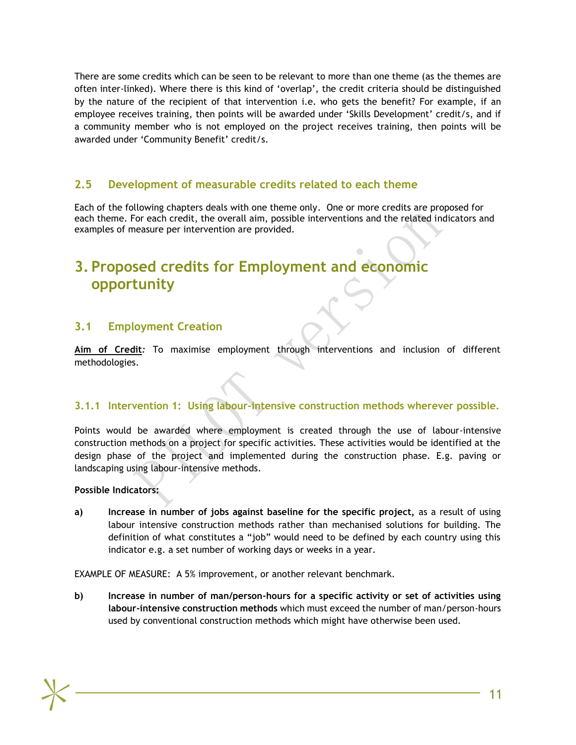There are some credits which can be seen to be relevant to more than one theme (as the themes are often inter-linked). Where there is this kind of 'overlap', the credit criteria should be distinguished by the nature of the recipient of that intervention i.e. who gets the benefit? For example, if an employee receives training, then points will be awarded under 'Skills Development' credit/s, and if a community member who is not employed on the project receives training, then points will be awarded under 'Community Benefit' credit/s.

## **2.5 Development of measurable credits related to each theme**

<span id="page-12-0"></span>Each of the following chapters deals with one theme only. One or more credits are proposed for each theme. For each credit, the overall aim, possible interventions and the related indicators and examples of measure per intervention are provided.

# **3. Proposed credits for Employment and economic opportunity**

# <span id="page-12-1"></span>**3.1 Employment Creation**

<span id="page-12-2"></span>**Aim of Credit***:* To maximise employment through interventions and inclusion of different methodologies.

## **3.1.1 Intervention 1: Using labour-intensive construction methods wherever possible.**

Points would be awarded where employment is created through the use of labour-intensive construction methods on a project for specific activities. These activities would be identified at the design phase of the project and implemented during the construction phase. E.g. paving or landscaping using labour-intensive methods.

#### **Possible Indicators:**

**a) Increase in number of jobs against baseline for the specific project,** as a result of using labour intensive construction methods rather than mechanised solutions for building. The definition of what constitutes a "job" would need to be defined by each country using this indicator e.g. a set number of working days or weeks in a year.

EXAMPLE OF MEASURE: A 5% improvement, or another relevant benchmark.

**b) Increase in number of man/person-hours for a specific activity or set of activities using labour-intensive construction methods** which must exceed the number of man/person-hours used by conventional construction methods which might have otherwise been used.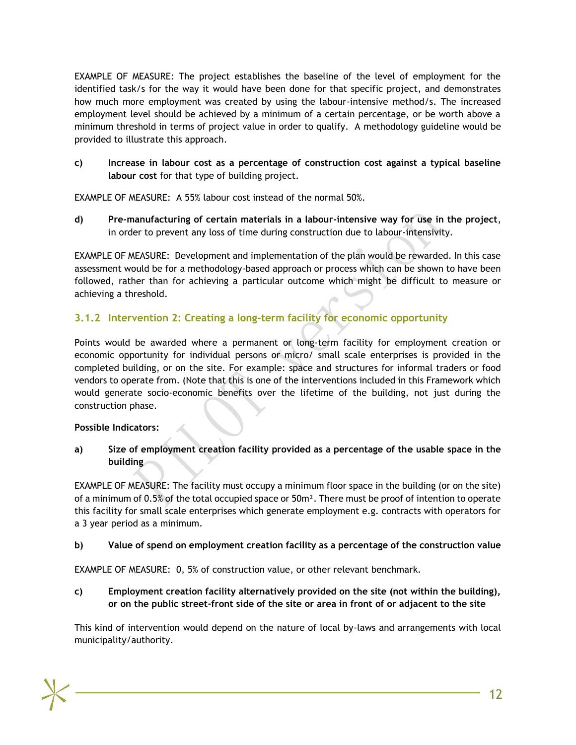EXAMPLE OF MEASURE: The project establishes the baseline of the level of employment for the identified task/s for the way it would have been done for that specific project, and demonstrates how much more employment was created by using the labour-intensive method/s. The increased employment level should be achieved by a minimum of a certain percentage, or be worth above a minimum threshold in terms of project value in order to qualify. A methodology guideline would be provided to illustrate this approach.

**c) Increase in labour cost as a percentage of construction cost against a typical baseline labour cost** for that type of building project.

EXAMPLE OF MEASURE: A 55% labour cost instead of the normal 50%.

**d) Pre-manufacturing of certain materials in a labour-intensive way for use in the project**, in order to prevent any loss of time during construction due to labour-intensivity.

EXAMPLE OF MEASURE: Development and implementation of the plan would be rewarded. In this case assessment would be for a methodology-based approach or process which can be shown to have been followed, rather than for achieving a particular outcome which might be difficult to measure or achieving a threshold.

## **3.1.2 Intervention 2: Creating a long-term facility for economic opportunity**

Points would be awarded where a permanent or long-term facility for employment creation or economic opportunity for individual persons or micro/ small scale enterprises is provided in the completed building, or on the site. For example: space and structures for informal traders or food vendors to operate from. (Note that this is one of the interventions included in this Framework which would generate socio-economic benefits over the lifetime of the building, not just during the construction phase.

#### **Possible Indicators:**

**a) Size of employment creation facility provided as a percentage of the usable space in the building**

EXAMPLE OF MEASURE: The facility must occupy a minimum floor space in the building (or on the site) of a minimum of 0.5% of the total occupied space or  $50m<sup>2</sup>$ . There must be proof of intention to operate this facility for small scale enterprises which generate employment e.g. contracts with operators for a 3 year period as a minimum.

#### **b) Value of spend on employment creation facility as a percentage of the construction value**

EXAMPLE OF MEASURE: 0, 5% of construction value, or other relevant benchmark.

**c) Employment creation facility alternatively provided on the site (not within the building), or on the public street-front side of the site or area in front of or adjacent to the site**

This kind of intervention would depend on the nature of local by-laws and arrangements with local municipality/authority.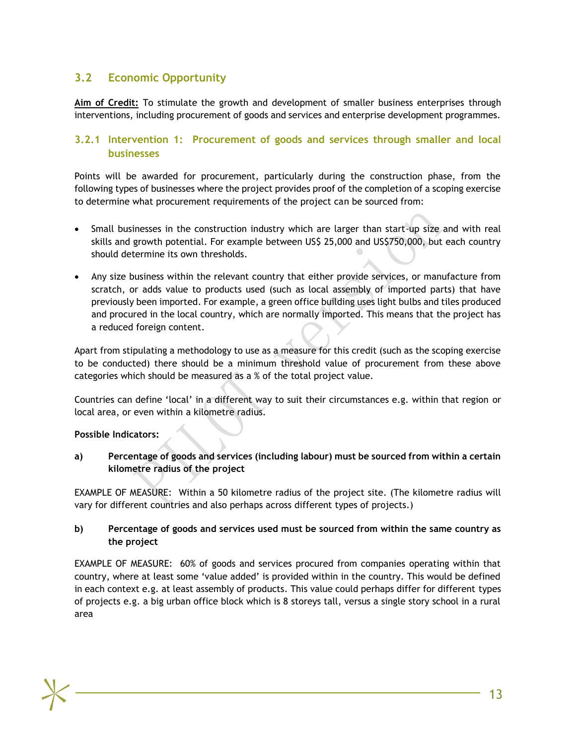# **3.2 Economic Opportunity**

**Aim of Credit:** To stimulate the growth and development of smaller business enterprises through interventions, including procurement of goods and services and enterprise development programmes.

## <span id="page-14-0"></span>**3.2.1 Intervention 1: Procurement of goods and services through smaller and local businesses**

Points will be awarded for procurement, particularly during the construction phase, from the following types of businesses where the project provides proof of the completion of a scoping exercise to determine what procurement requirements of the project can be sourced from:

- Small businesses in the construction industry which are larger than start-up size and with real skills and growth potential. For example between US\$ 25,000 and US\$750,000, but each country should determine its own thresholds.
- Any size business within the relevant country that either provide services, or manufacture from scratch, or adds value to products used (such as local assembly of imported parts) that have previously been imported. For example, a green office building uses light bulbs and tiles produced and procured in the local country, which are normally imported. This means that the project has a reduced foreign content.

Apart from stipulating a methodology to use as a measure for this credit (such as the scoping exercise to be conducted) there should be a minimum threshold value of procurement from these above categories which should be measured as a % of the total project value.

Countries can define 'local' in a different way to suit their circumstances e.g. within that region or local area, or even within a kilometre radius.

#### **Possible Indicators:**

**a) Percentage of goods and services (including labour) must be sourced from within a certain kilometre radius of the project**

EXAMPLE OF MEASURE: Within a 50 kilometre radius of the project site. (The kilometre radius will vary for different countries and also perhaps across different types of projects.)

#### **b) Percentage of goods and services used must be sourced from within the same country as the project**

EXAMPLE OF MEASURE: 60% of goods and services procured from companies operating within that country, where at least some 'value added' is provided within in the country. This would be defined in each context e.g. at least assembly of products. This value could perhaps differ for different types of projects e.g. a big urban office block which is 8 storeys tall, versus a single story school in a rural area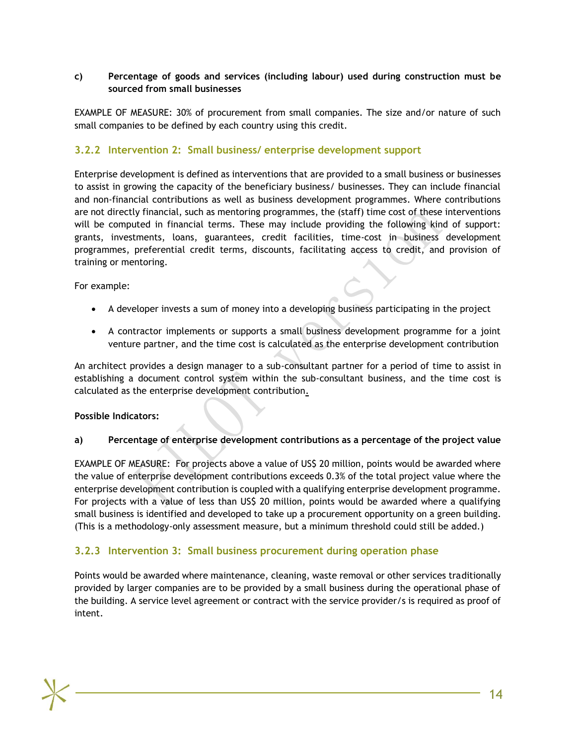#### **c) Percentage of goods and services (including labour) used during construction must be sourced from small businesses**

EXAMPLE OF MEASURE: 30% of procurement from small companies. The size and/or nature of such small companies to be defined by each country using this credit.

## **3.2.2 Intervention 2: Small business/ enterprise development support**

Enterprise development is defined as interventions that are provided to a small business or businesses to assist in growing the capacity of the beneficiary business/ businesses. They can include financial and non-financial contributions as well as business development programmes. Where contributions are not directly financial, such as mentoring programmes, the (staff) time cost of these interventions will be computed in financial terms. These may include providing the following kind of support: grants, investments, loans, guarantees, credit facilities, time-cost in business development programmes, preferential credit terms, discounts, facilitating access to credit, and provision of training or mentoring.

For example:

- A developer invests a sum of money into a developing business participating in the project
- A contractor implements or supports a small business development programme for a joint venture partner, and the time cost is calculated as the enterprise development contribution

An architect provides a design manager to a sub-consultant partner for a period of time to assist in establishing a document control system within the sub-consultant business, and the time cost is calculated as the enterprise development contribution.

#### **Possible Indicators:**

#### **a) Percentage of enterprise development contributions as a percentage of the project value**

EXAMPLE OF MEASURE: For projects above a value of US\$ 20 million, points would be awarded where the value of enterprise development contributions exceeds 0.3% of the total project value where the enterprise development contribution is coupled with a qualifying enterprise development programme. For projects with a value of less than US\$ 20 million, points would be awarded where a qualifying small business is identified and developed to take up a procurement opportunity on a green building. (This is a methodology-only assessment measure, but a minimum threshold could still be added.)

## **3.2.3 Intervention 3: Small business procurement during operation phase**

Points would be awarded where maintenance, cleaning, waste removal or other services traditionally provided by larger companies are to be provided by a small business during the operational phase of the building. A service level agreement or contract with the service provider/s is required as proof of intent.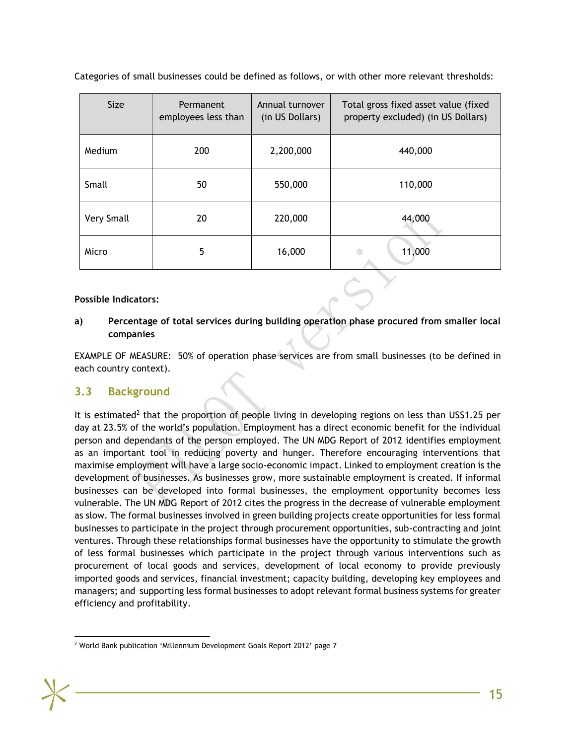| Size       | Permanent<br>employees less than | Annual turnover<br>(in US Dollars) | Total gross fixed asset value (fixed<br>property excluded) (in US Dollars) |
|------------|----------------------------------|------------------------------------|----------------------------------------------------------------------------|
| Medium     | 200                              | 2,200,000                          | 440,000                                                                    |
| Small      | 50                               | 550,000                            | 110,000                                                                    |
| Very Small | 20                               | 220,000                            | 44,000                                                                     |
| Micro      | 5                                | 16,000                             | 11,000                                                                     |

Categories of small businesses could be defined as follows, or with other more relevant thresholds:

#### **Possible Indicators:**

#### **a) Percentage of total services during building operation phase procured from smaller local companies**

EXAMPLE OF MEASURE: 50% of operation phase services are from small businesses (to be defined in each country context).

## **3.3 Background**

<span id="page-16-0"></span>It is estimated<sup>2</sup> that the proportion of people living in developing regions on less than US\$1.25 per day at 23.5% of the world's population. Employment has a direct economic benefit for the individual person and dependants of the person employed. The UN MDG Report of 2012 identifies employment as an important tool in reducing poverty and hunger. Therefore encouraging interventions that maximise employment will have a large socio-economic impact. Linked to employment creation is the development of businesses. As businesses grow, more sustainable employment is created. If informal businesses can be developed into formal businesses, the employment opportunity becomes less vulnerable. The UN MDG Report of 2012 cites the progress in the decrease of vulnerable employment as slow. The formal businesses involved in green building projects create opportunities for less formal businesses to participate in the project through procurement opportunities, sub-contracting and joint ventures. Through these relationships formal businesses have the opportunity to stimulate the growth of less formal businesses which participate in the project through various interventions such as procurement of local goods and services, development of local economy to provide previously imported goods and services, financial investment; capacity building, developing key employees and managers; and supporting less formal businesses to adopt relevant formal business systems for greater efficiency and profitability.

l <sup>2</sup> World Bank publication 'Millennium Development Goals Report 2012' page 7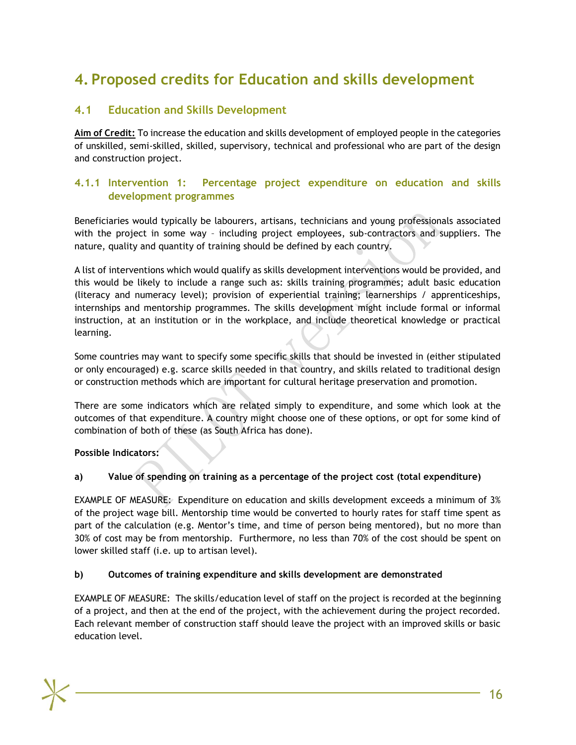# **4. Proposed credits for Education and skills development**

# **4.1 Education and Skills Development**

<span id="page-17-1"></span><span id="page-17-0"></span>**Aim of Credit:** To increase the education and skills development of employed people in the categories of unskilled, semi-skilled, skilled, supervisory, technical and professional who are part of the design and construction project.

## **4.1.1 Intervention 1: Percentage project expenditure on education and skills development programmes**

Beneficiaries would typically be labourers, artisans, technicians and young professionals associated with the project in some way – including project employees, sub-contractors and suppliers. The nature, quality and quantity of training should be defined by each country.

A list of interventions which would qualify as skills development interventions would be provided, and this would be likely to include a range such as: skills training programmes; adult basic education (literacy and numeracy level); provision of experiential training; learnerships / apprenticeships, internships and mentorship programmes. The skills development might include formal or informal instruction, at an institution or in the workplace, and include theoretical knowledge or practical learning.

Some countries may want to specify some specific skills that should be invested in (either stipulated or only encouraged) e.g. scarce skills needed in that country, and skills related to traditional design or construction methods which are important for cultural heritage preservation and promotion.

There are some indicators which are related simply to expenditure, and some which look at the outcomes of that expenditure. A country might choose one of these options, or opt for some kind of combination of both of these (as South Africa has done).

#### **Possible Indicators:**

#### **a) Value of spending on training as a percentage of the project cost (total expenditure)**

EXAMPLE OF MEASURE: Expenditure on education and skills development exceeds a minimum of 3% of the project wage bill. Mentorship time would be converted to hourly rates for staff time spent as part of the calculation (e.g. Mentor's time, and time of person being mentored), but no more than 30% of cost may be from mentorship. Furthermore, no less than 70% of the cost should be spent on lower skilled staff (i.e. up to artisan level).

#### **b) Outcomes of training expenditure and skills development are demonstrated**

EXAMPLE OF MEASURE: The skills/education level of staff on the project is recorded at the beginning of a project, and then at the end of the project, with the achievement during the project recorded. Each relevant member of construction staff should leave the project with an improved skills or basic education level.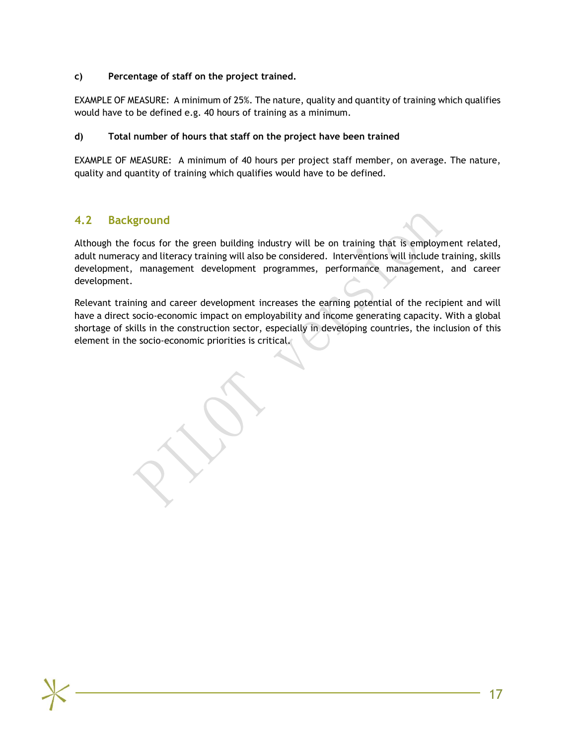#### **c) Percentage of staff on the project trained.**

EXAMPLE OF MEASURE: A minimum of 25%. The nature, quality and quantity of training which qualifies would have to be defined e.g. 40 hours of training as a minimum.

#### **d) Total number of hours that staff on the project have been trained**

EXAMPLE OF MEASURE: A minimum of 40 hours per project staff member, on average. The nature, quality and quantity of training which qualifies would have to be defined.

# **4.2 Background**

<span id="page-18-0"></span>Although the focus for the green building industry will be on training that is employment related, adult numeracy and literacy training will also be considered. Interventions will include training, skills development, management development programmes, performance management, and career development.

Relevant training and career development increases the earning potential of the recipient and will have a direct socio-economic impact on employability and income generating capacity. With a global shortage of skills in the construction sector, especially in developing countries, the inclusion of this element in the socio-economic priorities is critical.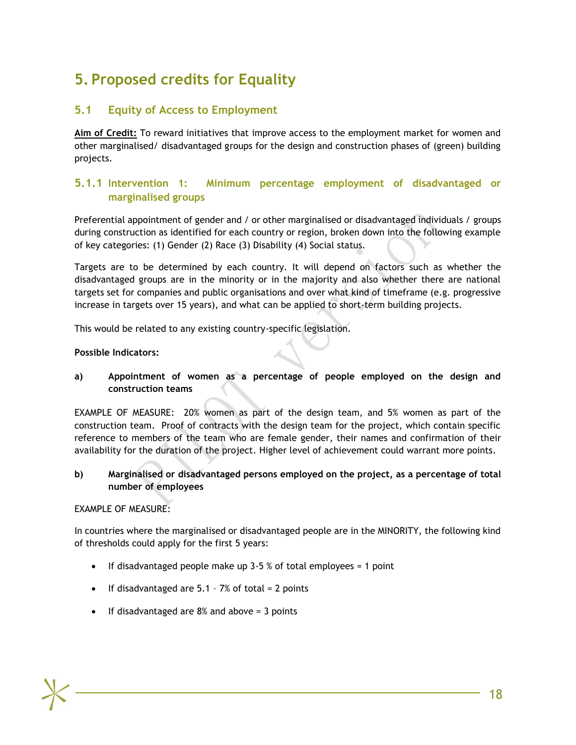# **5. Proposed credits for Equality**

# **5.1 Equity of Access to Employment**

<span id="page-19-1"></span><span id="page-19-0"></span>**Aim of Credit:** To reward initiatives that improve access to the employment market for women and other marginalised/ disadvantaged groups for the design and construction phases of (green) building projects.

# **5.1.1 Intervention 1: Minimum percentage employment of disadvantaged or marginalised groups**

Preferential appointment of gender and / or other marginalised or disadvantaged individuals / groups during construction as identified for each country or region, broken down into the following example of key categories: (1) Gender (2) Race (3) Disability (4) Social status.

Targets are to be determined by each country. It will depend on factors such as whether the disadvantaged groups are in the minority or in the majority and also whether there are national targets set for companies and public organisations and over what kind of timeframe (e.g. progressive increase in targets over 15 years), and what can be applied to short-term building projects.

This would be related to any existing country-specific legislation.

#### **Possible Indicators:**

**a) Appointment of women as a percentage of people employed on the design and construction teams**

EXAMPLE OF MEASURE: 20% women as part of the design team, and 5% women as part of the construction team. Proof of contracts with the design team for the project, which contain specific reference to members of the team who are female gender, their names and confirmation of their availability for the duration of the project. Higher level of achievement could warrant more points.

#### **b) Marginalised or disadvantaged persons employed on the project, as a percentage of total number of employees**

#### EXAMPLE OF MEASURE:

In countries where the marginalised or disadvantaged people are in the MINORITY, the following kind of thresholds could apply for the first 5 years:

- If disadvantaged people make up  $3-5$  % of total employees = 1 point
- If disadvantaged are 5.1 7% of total = 2 points
- $\bullet$  If disadvantaged are 8% and above = 3 points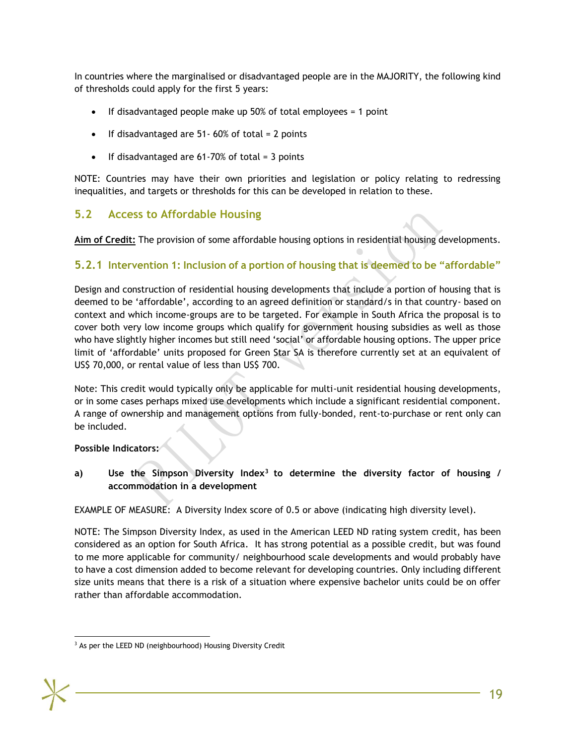In countries where the marginalised or disadvantaged people are in the MAJORITY, the following kind of thresholds could apply for the first 5 years:

- If disadvantaged people make up 50% of total employees = 1 point
- If disadvantaged are 51- 60% of total = 2 points
- If disadvantaged are  $61-70\%$  of total = 3 points

NOTE: Countries may have their own priorities and legislation or policy relating to redressing inequalities, and targets or thresholds for this can be developed in relation to these.

# **5.2 Access to Affordable Housing**

**Aim of Credit:** The provision of some affordable housing options in residential housing developments.

#### <span id="page-20-0"></span>**5.2.1 Intervention 1: Inclusion of a portion of housing that is deemed to be "affordable"**

Design and construction of residential housing developments that include a portion of housing that is deemed to be 'affordable', according to an agreed definition or standard/s in that country- based on context and which income-groups are to be targeted. For example in South Africa the proposal is to cover both very low income groups which qualify for government housing subsidies as well as those who have slightly higher incomes but still need 'social' or affordable housing options. The upper price limit of 'affordable' units proposed for Green Star SA is therefore currently set at an equivalent of US\$ 70,000, or rental value of less than US\$ 700.

Note: This credit would typically only be applicable for multi-unit residential housing developments, or in some cases perhaps mixed use developments which include a significant residential component. A range of ownership and management options from fully-bonded, rent-to-purchase or rent only can be included.

**Possible Indicators:**

**a) Use the Simpson Diversity Index<sup>3</sup> to determine the diversity factor of housing / accommodation in a development**

EXAMPLE OF MEASURE: A Diversity Index score of 0.5 or above (indicating high diversity level).

NOTE: The Simpson Diversity Index, as used in the American LEED ND rating system credit, has been considered as an option for South Africa. It has strong potential as a possible credit, but was found to me more applicable for community/ neighbourhood scale developments and would probably have to have a cost dimension added to become relevant for developing countries. Only including different size units means that there is a risk of a situation where expensive bachelor units could be on offer rather than affordable accommodation.

l <sup>3</sup> As per the LEED ND (neighbourhood) Housing Diversity Credit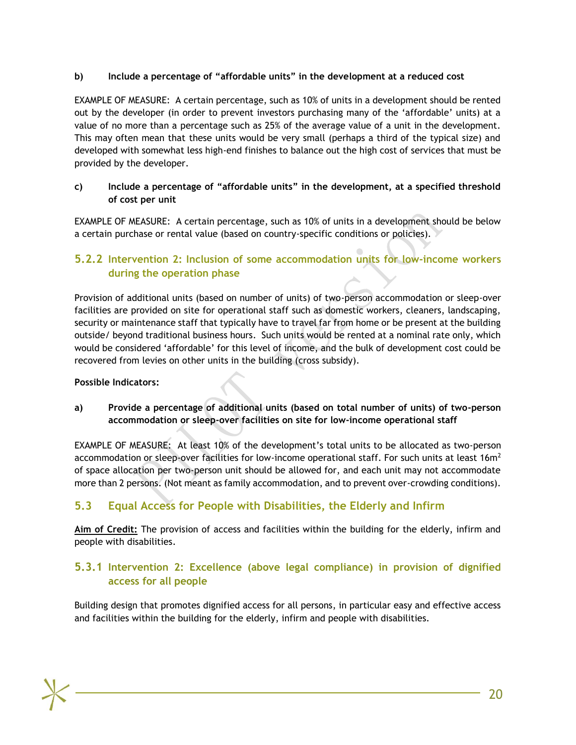#### **b) Include a percentage of "affordable units" in the development at a reduced cost**

EXAMPLE OF MEASURE: A certain percentage, such as 10% of units in a development should be rented out by the developer (in order to prevent investors purchasing many of the 'affordable' units) at a value of no more than a percentage such as 25% of the average value of a unit in the development. This may often mean that these units would be very small (perhaps a third of the typical size) and developed with somewhat less high-end finishes to balance out the high cost of services that must be provided by the developer.

#### **c) Include a percentage of "affordable units" in the development, at a specified threshold of cost per unit**

EXAMPLE OF MEASURE: A certain percentage, such as 10% of units in a development should be below a certain purchase or rental value (based on country-specific conditions or policies).

# **5.2.2 Intervention 2: Inclusion of some accommodation units for low-income workers during the operation phase**

Provision of additional units (based on number of units) of two-person accommodation or sleep-over facilities are provided on site for operational staff such as domestic workers, cleaners, landscaping, security or maintenance staff that typically have to travel far from home or be present at the building outside/ beyond traditional business hours. Such units would be rented at a nominal rate only, which would be considered 'affordable' for this level of income, and the bulk of development cost could be recovered from levies on other units in the building (cross subsidy).

#### **Possible Indicators:**

**a) Provide a percentage of additional units (based on total number of units) of two-person accommodation or sleep-over facilities on site for low-income operational staff**

EXAMPLE OF MEASURE: At least 10% of the development's total units to be allocated as two-person accommodation or sleep-over facilities for low-income operational staff. For such units at least  $16m^2$ of space allocation per two-person unit should be allowed for, and each unit may not accommodate more than 2 persons. (Not meant as family accommodation, and to prevent over-crowding conditions).

# **5.3 Equal Access for People with Disabilities, the Elderly and Infirm**

**Aim of Credit:** The provision of access and facilities within the building for the elderly, infirm and people with disabilities.

# <span id="page-21-0"></span>**5.3.1 Intervention 2: Excellence (above legal compliance) in provision of dignified access for all people**

Building design that promotes dignified access for all persons, in particular easy and effective access and facilities within the building for the elderly, infirm and people with disabilities.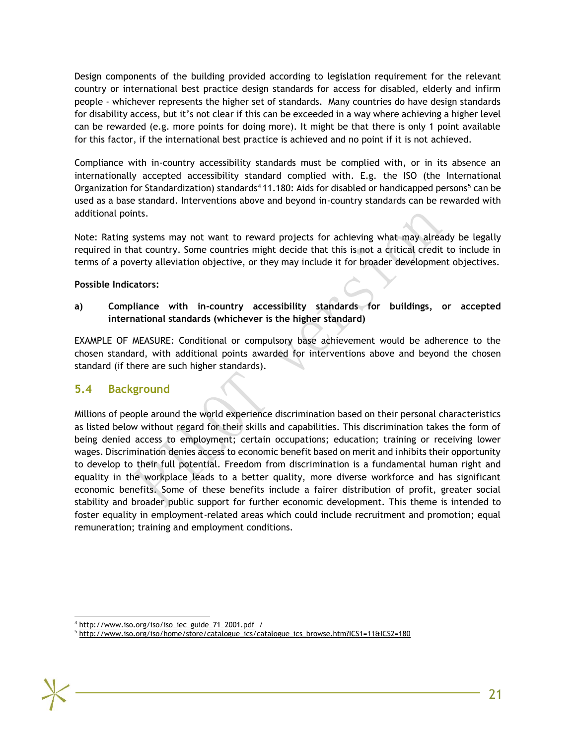Design components of the building provided according to legislation requirement for the relevant country or international best practice design standards for access for disabled, elderly and infirm people - whichever represents the higher set of standards. Many countries do have design standards for disability access, but it's not clear if this can be exceeded in a way where achieving a higher level can be rewarded (e.g. more points for doing more). It might be that there is only 1 point available for this factor, if the international best practice is achieved and no point if it is not achieved.

Compliance with in-country accessibility standards must be complied with, or in its absence an internationally accepted accessibility standard complied with. E.g. the ISO (the International Organization for Standardization) standards<sup>4</sup> 11.180: Aids for disabled or handicapped persons<sup>5</sup> can be used as a base standard. Interventions above and beyond in-country standards can be rewarded with additional points.

Note: Rating systems may not want to reward projects for achieving what may already be legally required in that country. Some countries might decide that this is not a critical credit to include in terms of a poverty alleviation objective, or they may include it for broader development objectives.

#### **Possible Indicators:**

**a) Compliance with in-country accessibility standards for buildings, or accepted international standards (whichever is the higher standard)**

EXAMPLE OF MEASURE: Conditional or compulsory base achievement would be adherence to the chosen standard, with additional points awarded for interventions above and beyond the chosen standard (if there are such higher standards).

## **5.4 Background**

<span id="page-22-0"></span>Millions of people around the world experience discrimination based on their personal characteristics as listed below without regard for their skills and capabilities. This discrimination takes the form of being denied access to employment; certain occupations; education; training or receiving lower wages. Discrimination denies access to economic benefit based on merit and inhibits their opportunity to develop to their full potential. Freedom from discrimination is a fundamental human right and equality in the workplace leads to a better quality, more diverse workforce and has significant economic benefits. Some of these benefits include a fairer distribution of profit, greater social stability and broader public support for further economic development. This theme is intended to foster equality in employment-related areas which could include recruitment and promotion; equal remuneration; training and employment conditions.

<sup>5</sup> [http://www.iso.org/iso/home/store/catalogue\\_ics/catalogue\\_ics\\_browse.htm?ICS1=11&ICS2=180](http://www.iso.org/iso/home/store/catalogue_ics/catalogue_ics_browse.htm?ICS1=11&ICS2=180)



l

<sup>4</sup> [http://www.iso.org/iso/iso\\_iec\\_guide\\_71\\_2001.pdf](http://www.iso.org/iso/iso_iec_guide_71_2001.pdf) /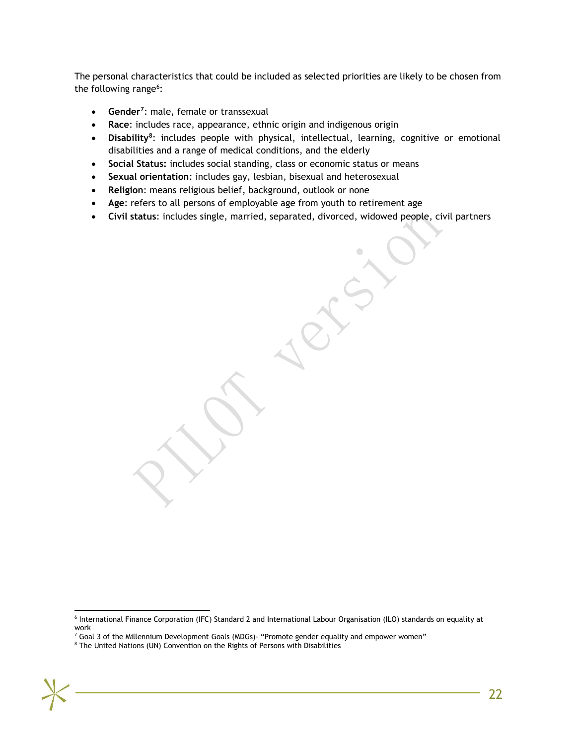The personal characteristics that could be included as selected priorities are likely to be chosen from the following range<sup>6</sup>:

- **Gender<sup>7</sup>** : male, female or transsexual
- **Race**: includes race, appearance, ethnic origin and indigenous origin
- **•** Disability<sup>8</sup>: includes people with physical, intellectual, learning, cognitive or emotional disabilities and a range of medical conditions, and the elderly
- **Social Status:** includes social standing, class or economic status or means
- **Sexual orientation**: includes gay, lesbian, bisexual and heterosexual
- **Religion**: means religious belief, background, outlook or none
- **Age**: refers to all persons of employable age from youth to retirement age
- **Civil status**: includes single, married, separated, divorced, widowed people, civil partners

6 International Finance Corporation (IFC) Standard 2 and International Labour Organisation (ILO) standards on equality at work

l

 $<sup>7</sup>$  Goal 3 of the Millennium Development Goals (MDGs)- "Promote gender equality and empower women"</sup>

<sup>8</sup> The United Nations (UN) Convention on the Rights of Persons with Disabilities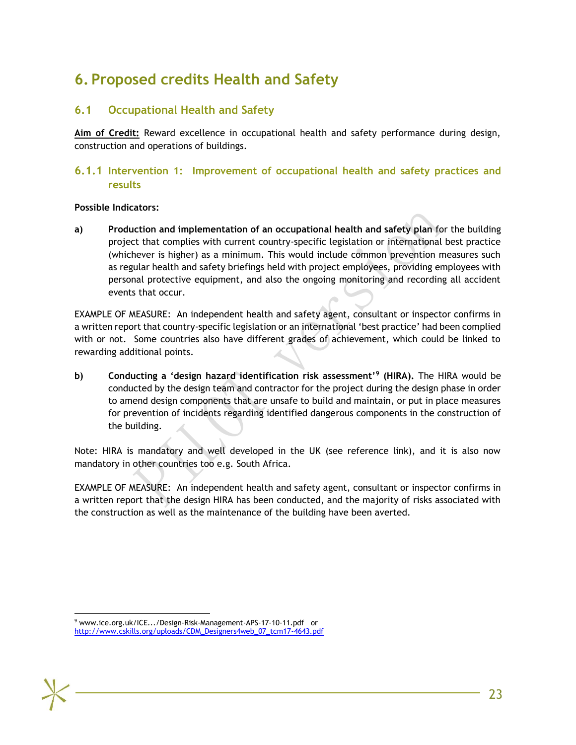# **6. Proposed credits Health and Safety**

# **6.1 Occupational Health and Safety**

<span id="page-24-0"></span>**Aim of Credit:** Reward excellence in occupational health and safety performance during design, construction and operations of buildings.

# <span id="page-24-1"></span>**6.1.1 Intervention 1: Improvement of occupational health and safety practices and results**

#### **Possible Indicators:**

**a) Production and implementation of an occupational health and safety plan** for the building project that complies with current country-specific legislation or international best practice (whichever is higher) as a minimum. This would include common prevention measures such as regular health and safety briefings held with project employees, providing employees with personal protective equipment, and also the ongoing monitoring and recording all accident events that occur.

EXAMPLE OF MEASURE: An independent health and safety agent, consultant or inspector confirms in a written report that country-specific legislation or an international 'best practice' had been complied with or not. Some countries also have different grades of achievement, which could be linked to rewarding additional points.

**b) Conducting a 'design hazard identification risk assessment'<sup>9</sup> (HIRA).** The HIRA would be conducted by the design team and contractor for the project during the design phase in order to amend design components that are unsafe to build and maintain, or put in place measures for prevention of incidents regarding identified dangerous components in the construction of the building.

Note: HIRA is mandatory and well developed in the UK (see reference link), and it is also now mandatory in other countries too e.g. South Africa.

EXAMPLE OF MEASURE: An independent health and safety agent, consultant or inspector confirms in a written report that the design HIRA has been conducted, and the majority of risks associated with the construction as well as the maintenance of the building have been averted.

l

<sup>&</sup>lt;sup>9</sup> [www.ice.org.uk/ICE.../Design-Risk-Management-APS-17-10-11.pdf o](http://www.ice.org.uk/ICE.../Design-Risk-Management-APS-17-10-11.pdf)r [http://www.cskills.org/uploads/CDM\\_Designers4web\\_07\\_tcm17-4643.pdf](http://www.cskills.org/uploads/CDM_Designers4web_07_tcm17-4643.pdf)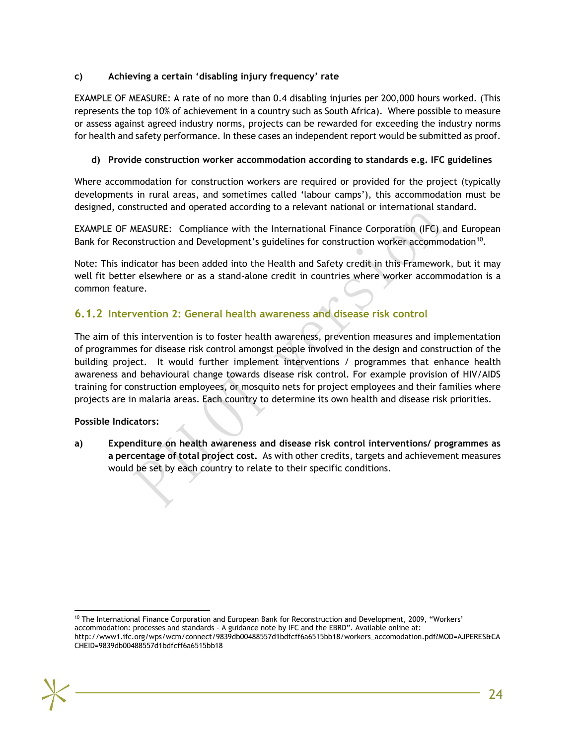#### **c) Achieving a certain 'disabling injury frequency' rate**

EXAMPLE OF MEASURE: A rate of no more than 0.4 disabling injuries per 200,000 hours worked. (This represents the top 10% of achievement in a country such as South Africa). Where possible to measure or assess against agreed industry norms, projects can be rewarded for exceeding the industry norms for health and safety performance. In these cases an independent report would be submitted as proof.

#### **d) Provide construction worker accommodation according to standards e.g. IFC guidelines**

Where accommodation for construction workers are required or provided for the project (typically developments in rural areas, and sometimes called 'labour camps'), this accommodation must be designed, constructed and operated according to a relevant national or international standard.

EXAMPLE OF MEASURE: Compliance with the International Finance Corporation (IFC) and European Bank for Reconstruction and Development's guidelines for construction worker accommodation<sup>10</sup>.

Note: This indicator has been added into the Health and Safety credit in this Framework, but it may well fit better elsewhere or as a stand-alone credit in countries where worker accommodation is a common feature.

# **6.1.2 Intervention 2: General health awareness and disease risk control**

The aim of this intervention is to foster health awareness, prevention measures and implementation of programmes for disease risk control amongst people involved in the design and construction of the building project. It would further implement interventions / programmes that enhance health awareness and behavioural change towards disease risk control. For example provision of HIV/AIDS training for construction employees, or mosquito nets for project employees and their families where projects are in malaria areas. Each country to determine its own health and disease risk priorities.

#### **Possible Indicators:**

**a) Expenditure on health awareness and disease risk control interventions/ programmes as a percentage of total project cost.** As with other credits, targets and achievement measures would be set by each country to relate to their specific conditions.

l <sup>10</sup> The International Finance Corporation and European Bank for Reconstruction and Development, 2009, "Workers'

accommodation: processes and standards - A guidance note by IFC and the EBRD". Available online at: http://www1.ifc.org/wps/wcm/connect/9839db00488557d1bdfcff6a6515bb18/workers\_accomodation.pdf?MOD=AJPERES&CA

CHEID=9839db00488557d1bdfcff6a6515bb18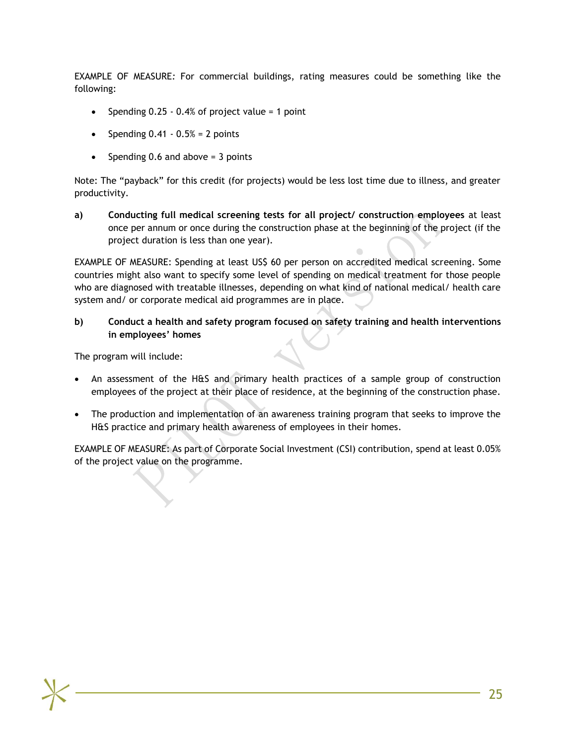EXAMPLE OF MEASURE*:* For commercial buildings, rating measures could be something like the following:

- Spending  $0.25 0.4\%$  of project value = 1 point
- Spending  $0.41 0.5% = 2$  points
- Spending 0.6 and above  $=$  3 points

Note: The "payback" for this credit (for projects) would be less lost time due to illness, and greater productivity.

**a) Conducting full medical screening tests for all project/ construction employees** at least once per annum or once during the construction phase at the beginning of the project (if the project duration is less than one year).

EXAMPLE OF MEASURE: Spending at least US\$ 60 per person on accredited medical screening. Some countries might also want to specify some level of spending on medical treatment for those people who are diagnosed with treatable illnesses, depending on what kind of national medical/ health care system and/ or corporate medical aid programmes are in place.

**b) Conduct a health and safety program focused on safety training and health interventions in employees' homes**

The program will include:

- An assessment of the H&S and primary health practices of a sample group of construction employees of the project at their place of residence, at the beginning of the construction phase.
- The production and implementation of an awareness training program that seeks to improve the H&S practice and primary health awareness of employees in their homes.

EXAMPLE OF MEASURE: As part of Corporate Social Investment (CSI) contribution, spend at least 0.05% of the project value on the programme.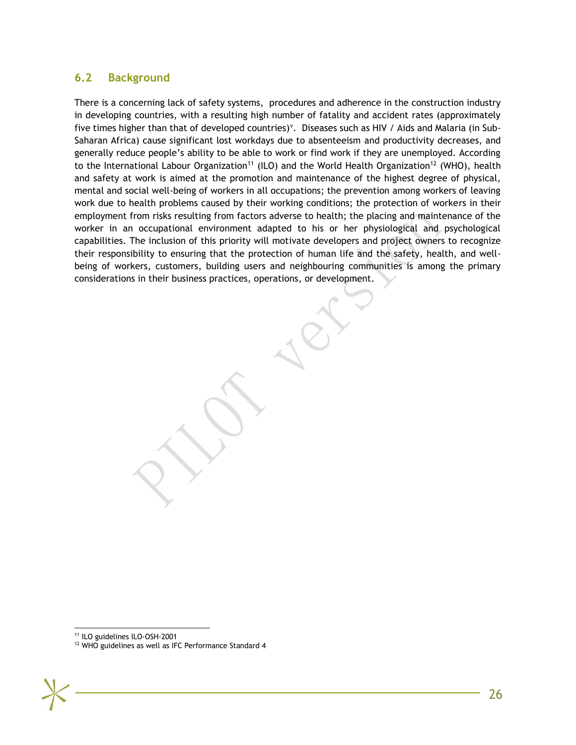# **6.2 Background**

<span id="page-27-0"></span>There is a concerning lack of safety systems, procedures and adherence in the construction industry in developing countries, with a resulting high number of fatality and accident rates (approximately five times higher than that of developed countries)<sup>v</sup>. Diseases such as HIV / Aids and Malaria (in Sub-Saharan Africa) cause significant lost workdays due to absenteeism and productivity decreases, and generally reduce people's ability to be able to work or find work if they are unemployed. According to the International Labour Organization<sup>11</sup> (ILO) and the World Health Organization<sup>12</sup> (WHO), health and safety at work is aimed at the promotion and maintenance of the highest degree of physical, mental and social well-being of workers in all occupations; the prevention among workers of leaving work due to health problems caused by their working conditions; the protection of workers in their employment from risks resulting from factors adverse to health; the placing and maintenance of the worker in an occupational environment adapted to his or her physiological and psychological capabilities. The inclusion of this priority will motivate developers and project owners to recognize their responsibility to ensuring that the protection of human life and the safety, health, and wellbeing of workers, customers, building users and neighbouring communities is among the primary considerations in their business practices, operations, or development.

l <sup>11</sup> ILO guidelines ILO-OSH-2001

<sup>&</sup>lt;sup>12</sup> WHO guidelines as well as IFC Performance Standard 4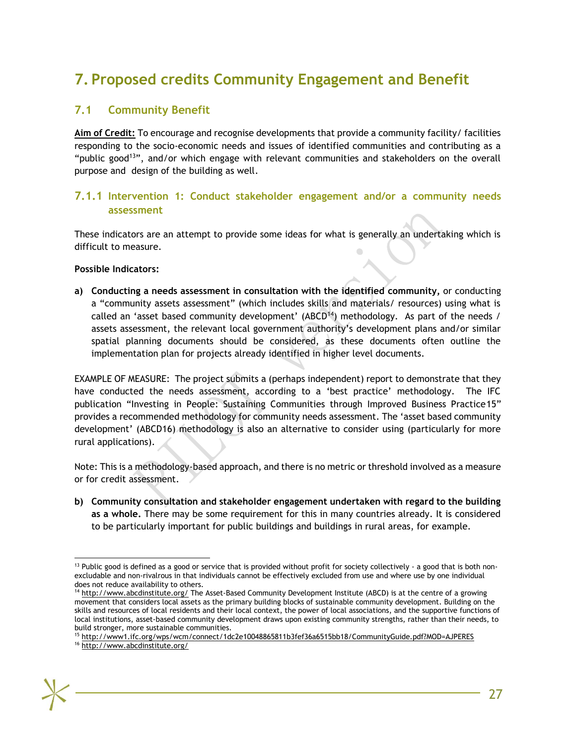# **7. Proposed credits Community Engagement and Benefit**

## **7.1 Community Benefit**

<span id="page-28-1"></span><span id="page-28-0"></span>**Aim of Credit:** To encourage and recognise developments that provide a community facility/ facilities responding to the socio-economic needs and issues of identified communities and contributing as a "public good<sup>13</sup>", and/or which engage with relevant communities and stakeholders on the overall purpose and design of the building as well.

## **7.1.1 Intervention 1: Conduct stakeholder engagement and/or a community needs assessment**

These indicators are an attempt to provide some ideas for what is generally an undertaking which is difficult to measure.

#### **Possible Indicators:**

**a) Conducting a needs assessment in consultation with the identified community,** or conducting a "community assets assessment" (which includes skills and materials/ resources) using what is called an 'asset based community development' (ABCD<sup>14</sup>) methodology. As part of the needs / assets assessment, the relevant local government authority's development plans and/or similar spatial planning documents should be considered, as these documents often outline the implementation plan for projects already identified in higher level documents.

EXAMPLE OF MEASURE: The project submits a (perhaps independent) report to demonstrate that they have conducted the needs assessment, according to a 'best practice' methodology. The IFC publication "Investing in People: Sustaining Communities through Improved Business Practice15" provides a recommended methodology for community needs assessment. The 'asset based community development' (ABCD16) methodology is also an alternative to consider using (particularly for more rural applications).

Note: This is a methodology-based approach, and there is no metric or threshold involved as a measure or for credit assessment.

**b) Community consultation and stakeholder engagement undertaken with regard to the building as a whole.** There may be some requirement for this in many countries already. It is considered to be particularly important for public buildings and buildings in rural areas, for example.

l  $13$  Public good is defined as a good or service that is provided without profit for society collectively - a good that is both nonexcludable and non-rivalrous in that individuals cannot be effectively excluded from use and where use by one individual does not reduce availability to others.

<sup>&</sup>lt;sup>14</sup> <http://www.abcdinstitute.org/> The Asset-Based Community Development Institute (ABCD) is at the centre of a growing movement that considers local assets as the primary building blocks of sustainable community development. Building on the skills and resources of local residents and their local context, the power of local associations, and the supportive functions of local institutions, asset-based community development draws upon existing community strengths, rather than their needs, to build stronger, more sustainable communities.

<sup>15</sup> <http://www1.ifc.org/wps/wcm/connect/1dc2e10048865811b3fef36a6515bb18/CommunityGuide.pdf?MOD=AJPERES>

<sup>16</sup> <http://www.abcdinstitute.org/>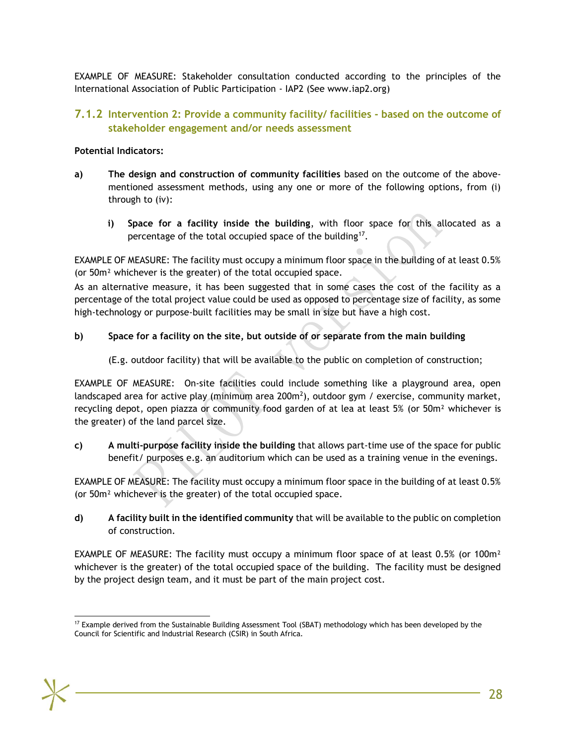EXAMPLE OF MEASURE: Stakeholder consultation conducted according to the principles of the International Association of Public Participation - IAP2 (See www.iap2.org)

## **7.1.2 Intervention 2: Provide a community facility/ facilities - based on the outcome of stakeholder engagement and/or needs assessment**

#### **Potential Indicators:**

- **a) The design and construction of community facilities** based on the outcome of the abovementioned assessment methods, using any one or more of the following options, from (i) through to (iv):
	- **i) Space for a facility inside the building**, with floor space for this allocated as a percentage of the total occupied space of the building<sup>17</sup>.

EXAMPLE OF MEASURE: The facility must occupy a minimum floor space in the building of at least 0.5% (or 50m² whichever is the greater) of the total occupied space.

As an alternative measure, it has been suggested that in some cases the cost of the facility as a percentage of the total project value could be used as opposed to percentage size of facility, as some high-technology or purpose-built facilities may be small in size but have a high cost.

#### **b) Space for a facility on the site, but outside of or separate from the main building**

(E.g. outdoor facility) that will be available to the public on completion of construction;

EXAMPLE OF MEASURE: On-site facilities could include something like a playground area, open landscaped area for active play (minimum area 200m<sup>2</sup>), outdoor gym / exercise, community market, recycling depot, open piazza or community food garden of at lea at least 5% (or 50m<sup>2</sup> whichever is the greater) of the land parcel size.

**c) A multi-purpose facility inside the building** that allows part-time use of the space for public benefit/ purposes e.g. an auditorium which can be used as a training venue in the evenings.

EXAMPLE OF MEASURE: The facility must occupy a minimum floor space in the building of at least 0.5% (or 50m² whichever is the greater) of the total occupied space.

**d) A facility built in the identified community** that will be available to the public on completion of construction.

EXAMPLE OF MEASURE: The facility must occupy a minimum floor space of at least 0.5% (or 100 $m<sup>2</sup>$ whichever is the greater) of the total occupied space of the building. The facility must be designed by the project design team, and it must be part of the main project cost.

l <sup>17</sup> Example derived from the Sustainable Building Assessment Tool (SBAT) methodology which has been developed by the Council for Scientific and Industrial Research (CSIR) in South Africa.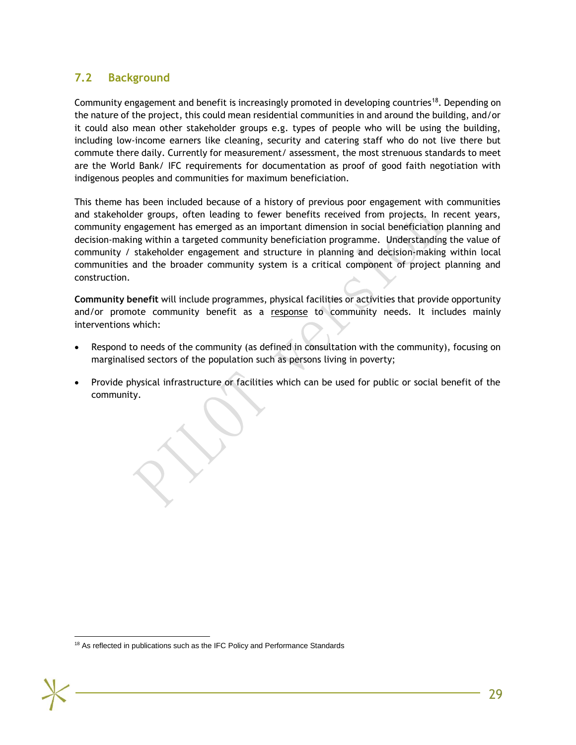# **7.2 Background**

<span id="page-30-0"></span>Community engagement and benefit is increasingly promoted in developing countries<sup>18</sup>. Depending on the nature of the project, this could mean residential communities in and around the building, and/or it could also mean other stakeholder groups e.g. types of people who will be using the building, including low-income earners like cleaning, security and catering staff who do not live there but commute there daily. Currently for measurement/ assessment, the most strenuous standards to meet are the World Bank/ IFC requirements for documentation as proof of good faith negotiation with indigenous peoples and communities for maximum beneficiation.

This theme has been included because of a history of previous poor engagement with communities and stakeholder groups, often leading to fewer benefits received from projects. In recent years, community engagement has emerged as an important dimension in social beneficiation planning and decision-making within a targeted community beneficiation programme. Understanding the value of community / stakeholder engagement and structure in planning and decision-making within local communities and the broader community system is a critical component of project planning and construction.

**Community benefit** will include programmes, physical facilities or activities that provide opportunity and/or promote community benefit as a response to community needs. It includes mainly interventions which:

- Respond to needs of the community (as defined in consultation with the community), focusing on marginalised sectors of the population such as persons living in poverty;
- Provide physical infrastructure or facilities which can be used for public or social benefit of the community.

l <sup>18</sup> As reflected in publications such as the IFC Policy and Performance Standards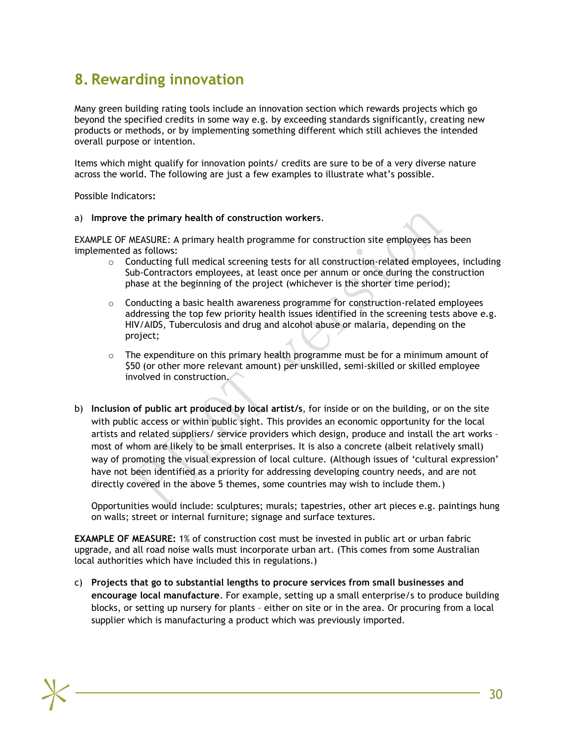# **8. Rewarding innovation**

<span id="page-31-0"></span>Many green building rating tools include an innovation section which rewards projects which go beyond the specified credits in some way e.g. by exceeding standards significantly, creating new products or methods, or by implementing something different which still achieves the intended overall purpose or intention.

Items which might qualify for innovation points/ credits are sure to be of a very diverse nature across the world. The following are just a few examples to illustrate what's possible.

Possible Indicators**:**

a) **Improve the primary health of construction workers**.

EXAMPLE OF MEASURE: A primary health programme for construction site employees has been implemented as follows:

- $\circ$  Conducting full medical screening tests for all construction-related employees, including Sub-Contractors employees, at least once per annum or once during the construction phase at the beginning of the project (whichever is the shorter time period);
- $\circ$  Conducting a basic health awareness programme for construction-related employees addressing the top few priority health issues identified in the screening tests above e.g. HIV/AIDS, Tuberculosis and drug and alcohol abuse or malaria, depending on the project;
- $\circ$  The expenditure on this primary health programme must be for a minimum amount of \$50 (or other more relevant amount) per unskilled, semi-skilled or skilled employee involved in construction.
- b) **Inclusion of public art produced by local artist/s**, for inside or on the building, or on the site with public access or within public sight. This provides an economic opportunity for the local artists and related suppliers/ service providers which design, produce and install the art works – most of whom are likely to be small enterprises. It is also a concrete (albeit relatively small) way of promoting the visual expression of local culture. (Although issues of 'cultural expression' have not been identified as a priority for addressing developing country needs, and are not directly covered in the above 5 themes, some countries may wish to include them.)

Opportunities would include: sculptures; murals; tapestries, other art pieces e.g. paintings hung on walls; street or internal furniture; signage and surface textures.

**EXAMPLE OF MEASURE:** 1% of construction cost must be invested in public art or urban fabric upgrade, and all road noise walls must incorporate urban art. (This comes from some Australian local authorities which have included this in regulations.)

c) **Projects that go to substantial lengths to procure services from small businesses and encourage local manufacture**. For example, setting up a small enterprise/s to produce building blocks, or setting up nursery for plants – either on site or in the area. Or procuring from a local supplier which is manufacturing a product which was previously imported.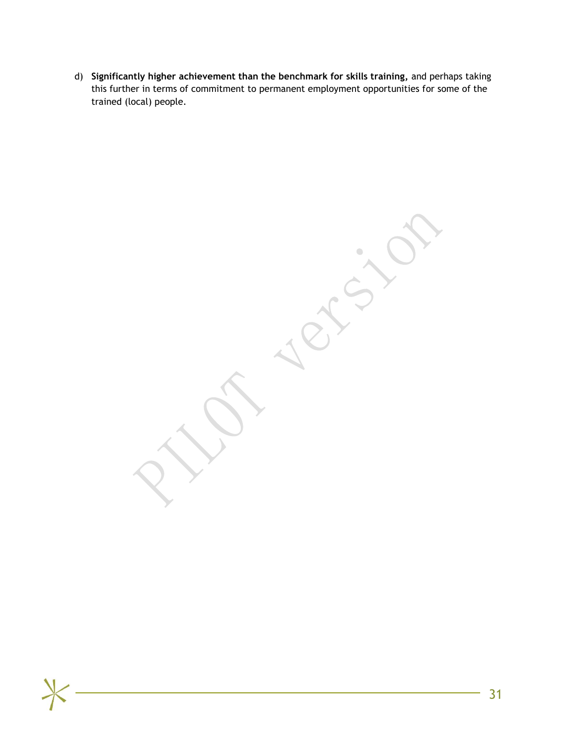d) **Significantly higher achievement than the benchmark for skills training,** and perhaps taking this further in terms of commitment to permanent employment opportunities for some of the trained (local) people.

 $\bullet$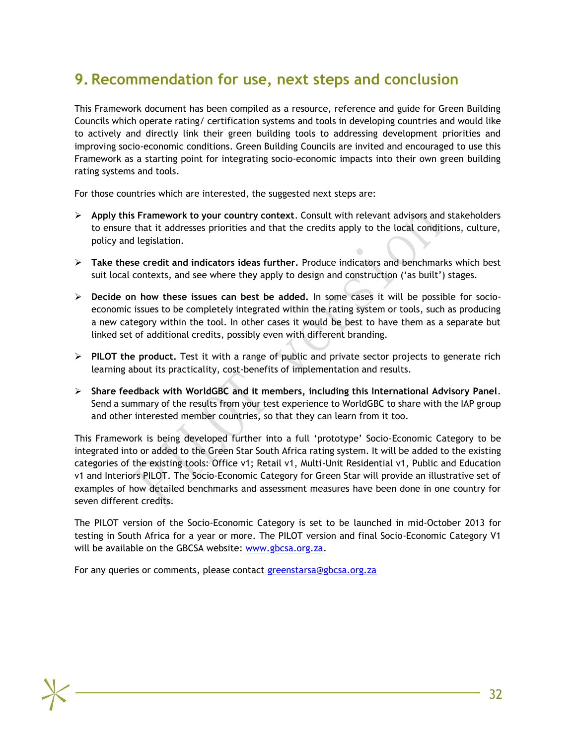# **9. Recommendation for use, next steps and conclusion**

<span id="page-33-0"></span>This Framework document has been compiled as a resource, reference and guide for Green Building Councils which operate rating/ certification systems and tools in developing countries and would like to actively and directly link their green building tools to addressing development priorities and improving socio-economic conditions. Green Building Councils are invited and encouraged to use this Framework as a starting point for integrating socio-economic impacts into their own green building rating systems and tools.

For those countries which are interested, the suggested next steps are:

- **Apply this Framework to your country context**. Consult with relevant advisors and stakeholders to ensure that it addresses priorities and that the credits apply to the local conditions, culture, policy and legislation.
- **Take these credit and indicators ideas further.** Produce indicators and benchmarks which best suit local contexts, and see where they apply to design and construction ('as built') stages.
- **Decide on how these issues can best be added.** In some cases it will be possible for socioeconomic issues to be completely integrated within the rating system or tools, such as producing a new category within the tool. In other cases it would be best to have them as a separate but linked set of additional credits, possibly even with different branding.
- **PILOT the product.** Test it with a range of public and private sector projects to generate rich learning about its practicality, cost-benefits of implementation and results.
- **Share feedback with WorldGBC and it members, including this International Advisory Panel**. Send a summary of the results from your test experience to WorldGBC to share with the IAP group and other interested member countries, so that they can learn from it too.

This Framework is being developed further into a full 'prototype' Socio-Economic Category to be integrated into or added to the Green Star South Africa rating system. It will be added to the existing categories of the existing tools: Office v1; Retail v1, Multi-Unit Residential v1, Public and Education v1 and Interiors PILOT. The Socio-Economic Category for Green Star will provide an illustrative set of examples of how detailed benchmarks and assessment measures have been done in one country for seven different credits.

The PILOT version of the Socio-Economic Category is set to be launched in mid-October 2013 for testing in South Africa for a year or more. The PILOT version and final Socio-Economic Category V1 will be available on the GBCSA website: [www.gbcsa.org.za.](http://www.gbcsa.org.za/)

For any queries or comments, please contact [greenstarsa@gbcsa.org.za](mailto:greenstarsa@gbcsa.org.za)